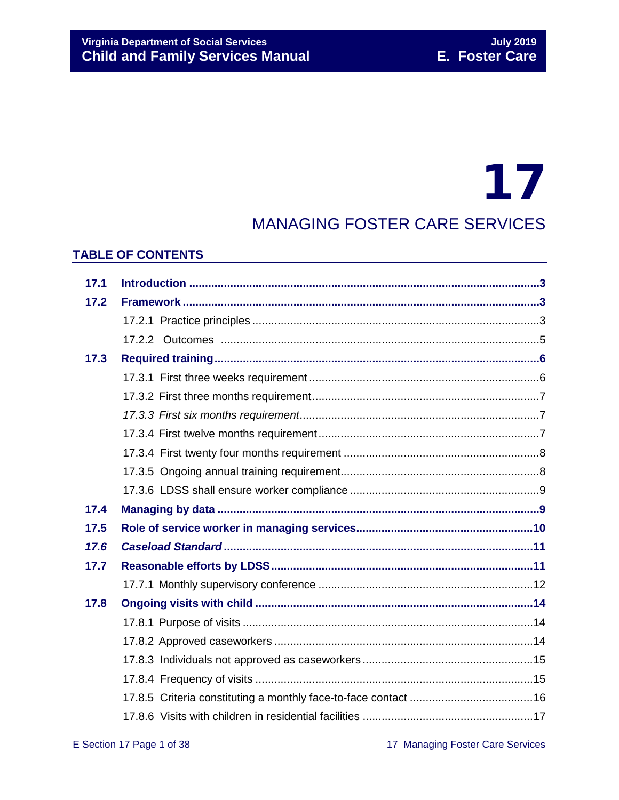# 17

## MANAGING FOSTER CARE SERVICES

## **TABLE OF CONTENTS**

| 17.1 |  |  |  |
|------|--|--|--|
| 17.2 |  |  |  |
|      |  |  |  |
|      |  |  |  |
| 17.3 |  |  |  |
|      |  |  |  |
|      |  |  |  |
|      |  |  |  |
|      |  |  |  |
|      |  |  |  |
|      |  |  |  |
|      |  |  |  |
| 17.4 |  |  |  |
| 17.5 |  |  |  |
| 17.6 |  |  |  |
| 17.7 |  |  |  |
|      |  |  |  |
| 17.8 |  |  |  |
|      |  |  |  |
|      |  |  |  |
|      |  |  |  |
|      |  |  |  |
|      |  |  |  |
|      |  |  |  |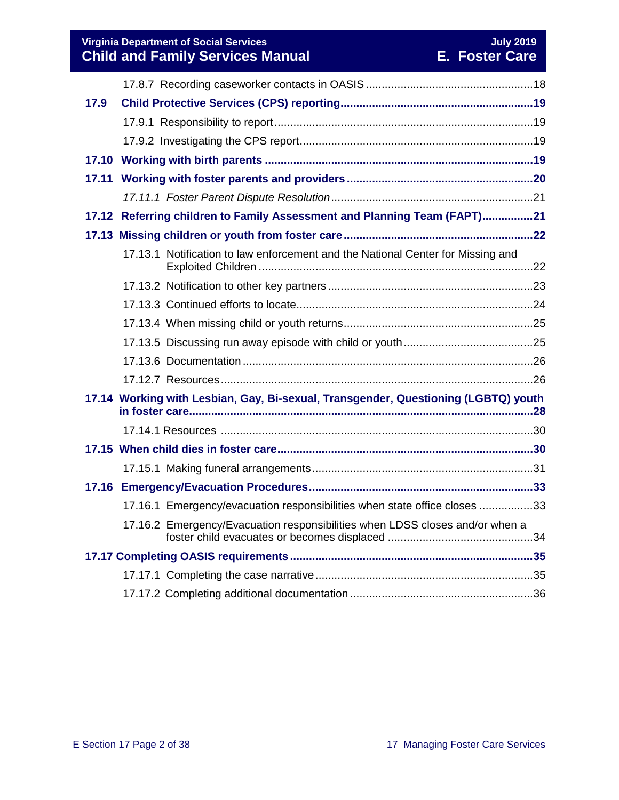**Virginia Department of Social Services** July 2019 **July 2019 Child and Family Services Manual E. Foster Care**

| 17.9                                                                               |  |                                                                                 |  |  |
|------------------------------------------------------------------------------------|--|---------------------------------------------------------------------------------|--|--|
|                                                                                    |  |                                                                                 |  |  |
|                                                                                    |  |                                                                                 |  |  |
|                                                                                    |  |                                                                                 |  |  |
| 17.11                                                                              |  |                                                                                 |  |  |
|                                                                                    |  |                                                                                 |  |  |
|                                                                                    |  | 17.12 Referring children to Family Assessment and Planning Team (FAPT)21        |  |  |
|                                                                                    |  |                                                                                 |  |  |
|                                                                                    |  | 17.13.1 Notification to law enforcement and the National Center for Missing and |  |  |
|                                                                                    |  |                                                                                 |  |  |
|                                                                                    |  |                                                                                 |  |  |
|                                                                                    |  |                                                                                 |  |  |
|                                                                                    |  |                                                                                 |  |  |
|                                                                                    |  |                                                                                 |  |  |
|                                                                                    |  |                                                                                 |  |  |
| 17.14 Working with Lesbian, Gay, Bi-sexual, Transgender, Questioning (LGBTQ) youth |  |                                                                                 |  |  |
|                                                                                    |  |                                                                                 |  |  |
|                                                                                    |  |                                                                                 |  |  |
|                                                                                    |  |                                                                                 |  |  |
|                                                                                    |  |                                                                                 |  |  |
|                                                                                    |  | 17.16.1 Emergency/evacuation responsibilities when state office closes 33       |  |  |
|                                                                                    |  | 17.16.2 Emergency/Evacuation responsibilities when LDSS closes and/or when a    |  |  |
|                                                                                    |  |                                                                                 |  |  |
|                                                                                    |  |                                                                                 |  |  |
|                                                                                    |  |                                                                                 |  |  |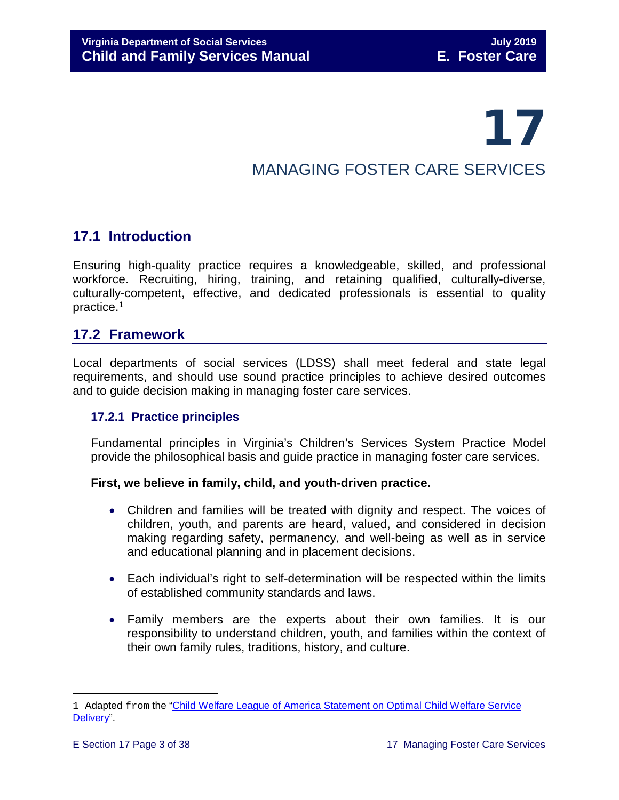# 17

## MANAGING FOSTER CARE SERVICES

## <span id="page-2-0"></span>**17.1 Introduction**

Ensuring high-quality practice requires a knowledgeable, skilled, and professional workforce. Recruiting, hiring, training, and retaining qualified, culturally-diverse, culturally-competent, effective, and dedicated professionals is essential to quality practice.[1](#page-2-3)

## <span id="page-2-1"></span>**17.2 Framework**

Local departments of social services (LDSS) shall meet federal and state legal requirements, and should use sound practice principles to achieve desired outcomes and to guide decision making in managing foster care services.

## <span id="page-2-2"></span>**17.2.1 Practice principles**

Fundamental principles in Virginia's Children's Services System Practice Model provide the philosophical basis and guide practice in managing foster care services.

## **First, we believe in family, child, and youth-driven practice.**

- Children and families will be treated with dignity and respect. The voices of children, youth, and parents are heard, valued, and considered in decision making regarding safety, permanency, and well-being as well as in service and educational planning and in placement decisions.
- Each individual's right to self-determination will be respected within the limits of established community standards and laws.
- Family members are the experts about their own families. It is our responsibility to understand children, youth, and families within the context of their own family rules, traditions, history, and culture.

<span id="page-2-3"></span>ī 1 Adapted from the "Child Welfare League of America Statement on Optimal Child Welfare Service [Delivery"](http://www.cwla.org/advocacy/financingoptimaldeliv.htm)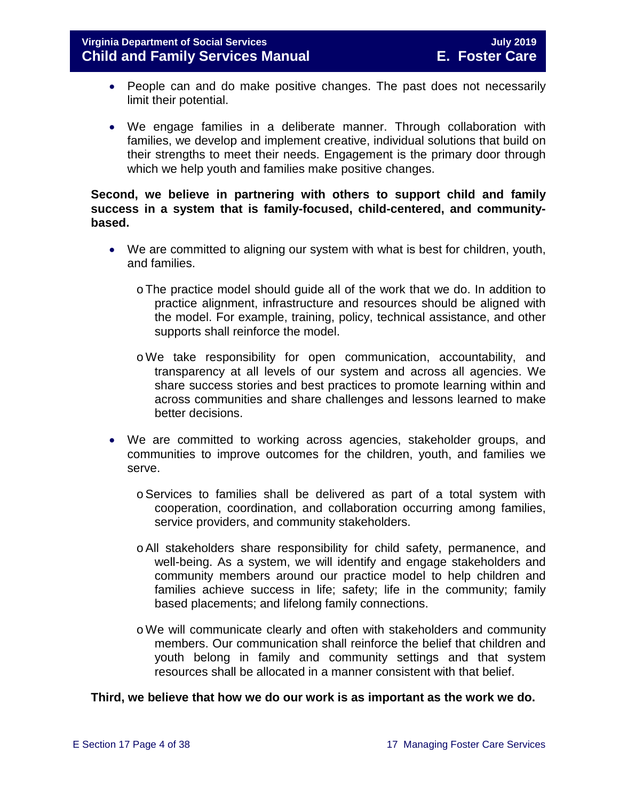- People can and do make positive changes. The past does not necessarily limit their potential.
- We engage families in a deliberate manner. Through collaboration with families, we develop and implement creative, individual solutions that build on their strengths to meet their needs. Engagement is the primary door through which we help youth and families make positive changes.

## **Second, we believe in partnering with others to support child and family success in a system that is family-focused, child-centered, and communitybased.**

- We are committed to aligning our system with what is best for children, youth, and families.
	- oThe practice model should guide all of the work that we do. In addition to practice alignment, infrastructure and resources should be aligned with the model. For example, training, policy, technical assistance, and other supports shall reinforce the model.
	- oWe take responsibility for open communication, accountability, and transparency at all levels of our system and across all agencies. We share success stories and best practices to promote learning within and across communities and share challenges and lessons learned to make better decisions.
- We are committed to working across agencies, stakeholder groups, and communities to improve outcomes for the children, youth, and families we serve.
	- oServices to families shall be delivered as part of a total system with cooperation, coordination, and collaboration occurring among families, service providers, and community stakeholders.
	- oAll stakeholders share responsibility for child safety, permanence, and well-being. As a system, we will identify and engage stakeholders and community members around our practice model to help children and families achieve success in life; safety; life in the community; family based placements; and lifelong family connections.
	- oWe will communicate clearly and often with stakeholders and community members. Our communication shall reinforce the belief that children and youth belong in family and community settings and that system resources shall be allocated in a manner consistent with that belief.

#### **Third, we believe that how we do our work is as important as the work we do.**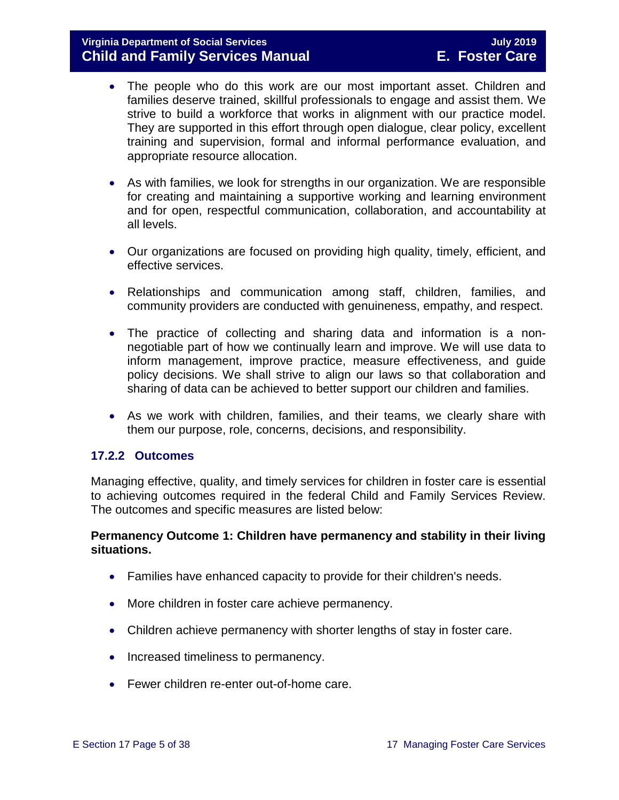- The people who do this work are our most important asset. Children and families deserve trained, skillful professionals to engage and assist them. We strive to build a workforce that works in alignment with our practice model. They are supported in this effort through open dialogue, clear policy, excellent training and supervision, formal and informal performance evaluation, and appropriate resource allocation.
- As with families, we look for strengths in our organization. We are responsible for creating and maintaining a supportive working and learning environment and for open, respectful communication, collaboration, and accountability at all levels.
- Our organizations are focused on providing high quality, timely, efficient, and effective services.
- Relationships and communication among staff, children, families, and community providers are conducted with genuineness, empathy, and respect.
- The practice of collecting and sharing data and information is a nonnegotiable part of how we continually learn and improve. We will use data to inform management, improve practice, measure effectiveness, and guide policy decisions. We shall strive to align our laws so that collaboration and sharing of data can be achieved to better support our children and families.
- As we work with children, families, and their teams, we clearly share with them our purpose, role, concerns, decisions, and responsibility.

## <span id="page-4-0"></span>**17.2.2 Outcomes**

Managing effective, quality, and timely services for children in foster care is essential to achieving outcomes required in the federal Child and Family Services Review. The outcomes and specific measures are listed below:

## **Permanency Outcome 1: Children have permanency and stability in their living situations.**

- Families have enhanced capacity to provide for their children's needs.
- More children in foster care achieve permanency.
- Children achieve permanency with shorter lengths of stay in foster care.
- Increased timeliness to permanency.
- Fewer children re-enter out-of-home care.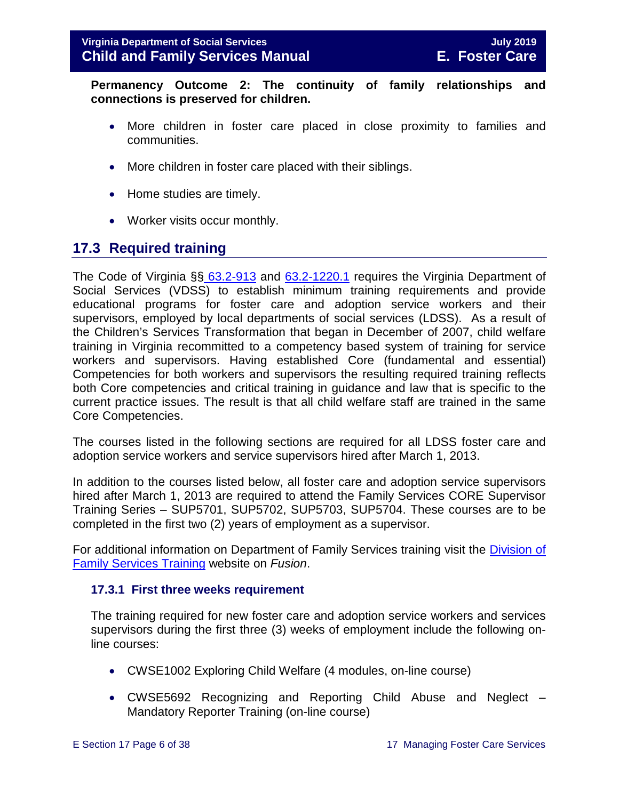**Permanency Outcome 2: The continuity of family relationships and connections is preserved for children.**

- More children in foster care placed in close proximity to families and communities.
- More children in foster care placed with their siblings.
- Home studies are timely.
- Worker visits occur monthly.

## <span id="page-5-0"></span>**17.3 Required training**

The Code of Virginia §§ [63.2-913](http://law.lis.virginia.gov/vacode/63.2-913/) and [63.2-1220.1](http://law.lis.virginia.gov/vacode/63.2-1220.1/) requires the Virginia Department of Social Services (VDSS) to establish minimum training requirements and provide educational programs for foster care and adoption service workers and their supervisors, employed by local departments of social services (LDSS). As a result of the Children's Services Transformation that began in December of 2007, child welfare training in Virginia recommitted to a competency based system of training for service workers and supervisors. Having established Core (fundamental and essential) Competencies for both workers and supervisors the resulting required training reflects both Core competencies and critical training in guidance and law that is specific to the current practice issues. The result is that all child welfare staff are trained in the same Core Competencies.

The courses listed in the following sections are required for all LDSS foster care and adoption service workers and service supervisors hired after March 1, 2013.

In addition to the courses listed below, all foster care and adoption service supervisors hired after March 1, 2013 are required to attend the Family Services CORE Supervisor Training Series – SUP5701, SUP5702, SUP5703, SUP5704. These courses are to be completed in the first two (2) years of employment as a supervisor.

For additional information on Department of Family Services training visit the [Division of](https://fusion.dss.virginia.gov/dfs/DFS-Home/Family-Services-Training)  [Family Services Training](https://fusion.dss.virginia.gov/dfs/DFS-Home/Family-Services-Training) website on *Fusion*.

#### <span id="page-5-1"></span>**17.3.1 First three weeks requirement**

The training required for new foster care and adoption service workers and services supervisors during the first three (3) weeks of employment include the following online courses:

- CWSE1002 Exploring Child Welfare (4 modules, on-line course)
- CWSE5692 Recognizing and Reporting Child Abuse and Neglect Mandatory Reporter Training (on-line course)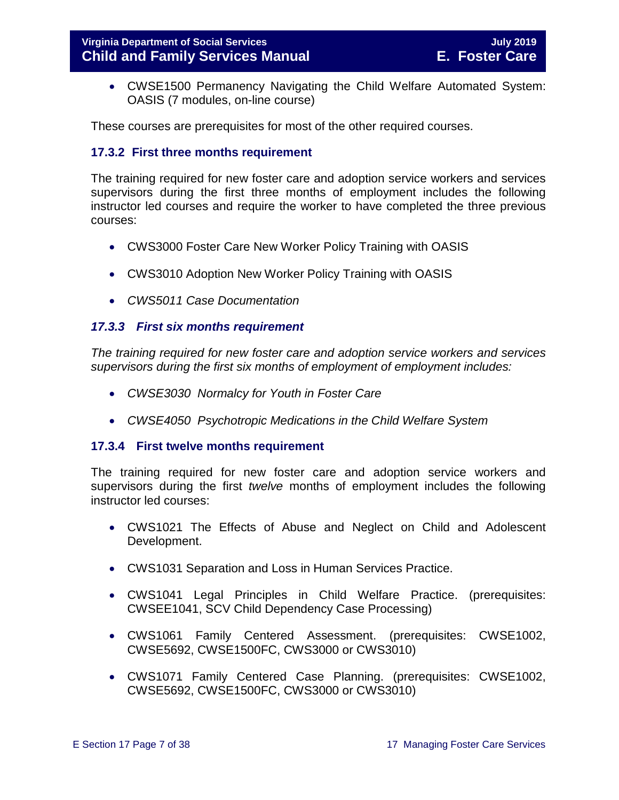• CWSE1500 Permanency Navigating the Child Welfare Automated System: OASIS (7 modules, on-line course)

These courses are prerequisites for most of the other required courses.

## <span id="page-6-0"></span>**17.3.2 First three months requirement**

The training required for new foster care and adoption service workers and services supervisors during the first three months of employment includes the following instructor led courses and require the worker to have completed the three previous courses:

- CWS3000 Foster Care New Worker Policy Training with OASIS
- CWS3010 Adoption New Worker Policy Training with OASIS
- *CWS5011 Case Documentation*

## <span id="page-6-1"></span>*17.3.3 First six months requirement*

*The training required for new foster care and adoption service workers and services supervisors during the first six months of employment of employment includes:*

- *CWSE3030 Normalcy for Youth in Foster Care*
- *CWSE4050 Psychotropic Medications in the Child Welfare System*

#### <span id="page-6-2"></span>**17.3.4 First twelve months requirement**

The training required for new foster care and adoption service workers and supervisors during the first *twelve* months of employment includes the following instructor led courses:

- CWS1021 The Effects of Abuse and Neglect on Child and Adolescent Development.
- CWS1031 Separation and Loss in Human Services Practice.
- CWS1041 Legal Principles in Child Welfare Practice. (prerequisites: CWSEE1041, SCV Child Dependency Case Processing)
- CWS1061 Family Centered Assessment. (prerequisites: CWSE1002, CWSE5692, CWSE1500FC, CWS3000 or CWS3010)
- CWS1071 Family Centered Case Planning. (prerequisites: CWSE1002, CWSE5692, CWSE1500FC, CWS3000 or CWS3010)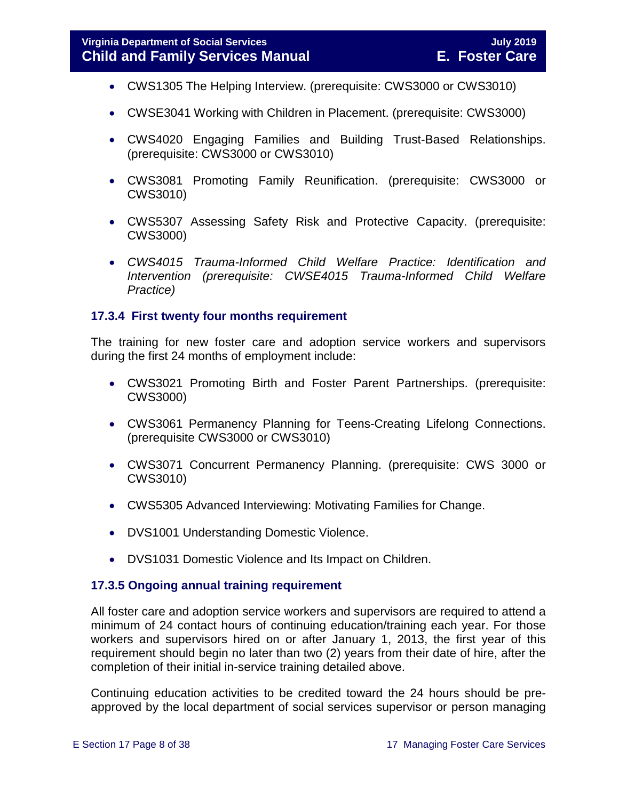- CWS1305 The Helping Interview. (prerequisite: CWS3000 or CWS3010)
- CWSE3041 Working with Children in Placement. (prerequisite: CWS3000)
- CWS4020 Engaging Families and Building Trust-Based Relationships. (prerequisite: CWS3000 or CWS3010)
- CWS3081 Promoting Family Reunification. (prerequisite: CWS3000 or CWS3010)
- CWS5307 Assessing Safety Risk and Protective Capacity. (prerequisite: CWS3000)
- *CWS4015 Trauma-Informed Child Welfare Practice: Identification and Intervention (prerequisite: CWSE4015 Trauma-Informed Child Welfare Practice)*

## <span id="page-7-0"></span>**17.3.4 First twenty four months requirement**

The training for new foster care and adoption service workers and supervisors during the first 24 months of employment include:

- CWS3021 Promoting Birth and Foster Parent Partnerships. (prerequisite: CWS3000)
- CWS3061 Permanency Planning for Teens-Creating Lifelong Connections. (prerequisite CWS3000 or CWS3010)
- CWS3071 Concurrent Permanency Planning. (prerequisite: CWS 3000 or CWS3010)
- CWS5305 Advanced Interviewing: Motivating Families for Change.
- DVS1001 Understanding Domestic Violence.
- DVS1031 Domestic Violence and Its Impact on Children.

#### <span id="page-7-1"></span>**17.3.5 Ongoing annual training requirement**

All foster care and adoption service workers and supervisors are required to attend a minimum of 24 contact hours of continuing education/training each year. For those workers and supervisors hired on or after January 1, 2013, the first year of this requirement should begin no later than two (2) years from their date of hire, after the completion of their initial in-service training detailed above.

Continuing education activities to be credited toward the 24 hours should be preapproved by the local department of social services supervisor or person managing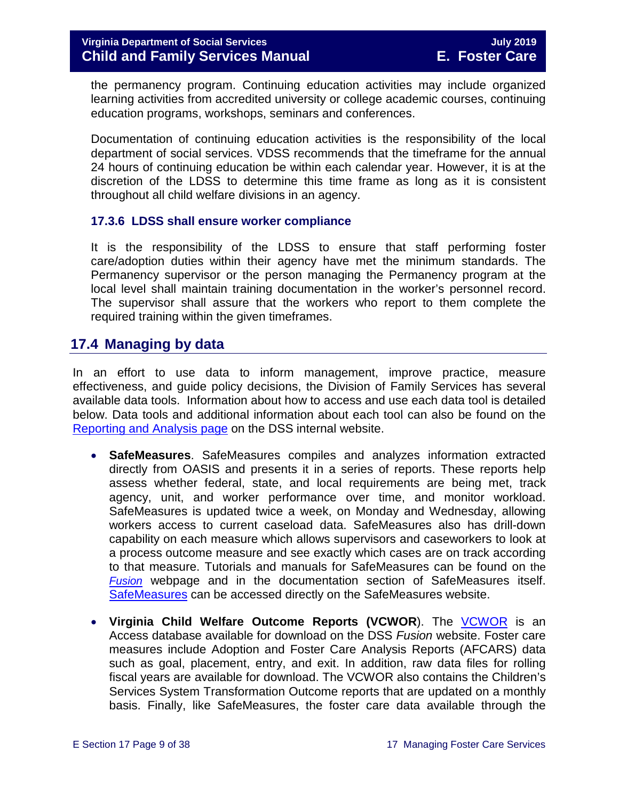the permanency program. Continuing education activities may include organized learning activities from accredited university or college academic courses, continuing education programs, workshops, seminars and conferences.

Documentation of continuing education activities is the responsibility of the local department of social services. VDSS recommends that the timeframe for the annual 24 hours of continuing education be within each calendar year. However, it is at the discretion of the LDSS to determine this time frame as long as it is consistent throughout all child welfare divisions in an agency.

## <span id="page-8-0"></span>**17.3.6 LDSS shall ensure worker compliance**

It is the responsibility of the LDSS to ensure that staff performing foster care/adoption duties within their agency have met the minimum standards. The Permanency supervisor or the person managing the Permanency program at the local level shall maintain training documentation in the worker's personnel record. The supervisor shall assure that the workers who report to them complete the required training within the given timeframes.

## <span id="page-8-1"></span>**17.4 Managing by data**

In an effort to use data to inform management, improve practice, measure effectiveness, and guide policy decisions, the Division of Family Services has several available data tools. Information about how to access and use each data tool is detailed below. Data tools and additional information about each tool can also be found on the [Reporting and Analysis page](https://fusion.dss.virginia.gov/dfs/DFS-Home/FAMILY-SERVICES-REPORTING) on the DSS internal website.

- **SafeMeasures**. SafeMeasures compiles and analyzes information extracted directly from OASIS and presents it in a series of reports. These reports help assess whether federal, state, and local requirements are being met, track agency, unit, and worker performance over time, and monitor workload. SafeMeasures is updated twice a week, on Monday and Wednesday, allowing workers access to current caseload data. SafeMeasures also has drill-down capability on each measure which allows supervisors and caseworkers to look at a process outcome measure and see exactly which cases are on track according to that measure. Tutorials and manuals for SafeMeasures can be found on the *[Fusion](http://spark.dss.virginia.gov/divisions/dfs/reporting/index.cgi)* webpage and in the documentation section of SafeMeasures itself. [SafeMeasures](https://www.safemeasures.org/vadss/) can be accessed directly on the SafeMeasures website.
- **Virginia Child Welfare Outcome Reports (VCWOR**). The [VCWOR](http://spark.dss.virginia.gov/divisions/dis/oasis/) is an Access database available for download on the DSS *Fusion* website. Foster care measures include Adoption and Foster Care Analysis Reports (AFCARS) data such as goal, placement, entry, and exit. In addition, raw data files for rolling fiscal years are available for download. The VCWOR also contains the Children's Services System Transformation Outcome reports that are updated on a monthly basis. Finally, like SafeMeasures, the foster care data available through the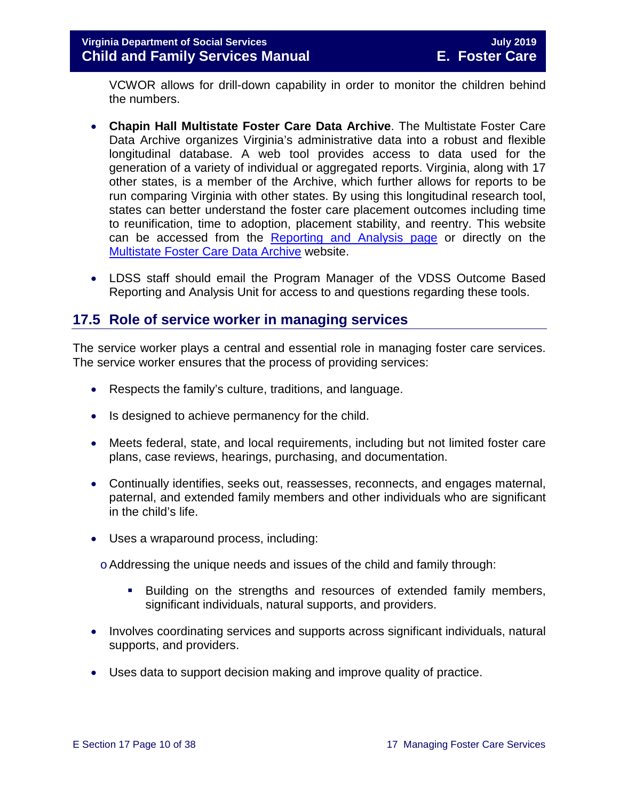VCWOR allows for drill-down capability in order to monitor the children behind the numbers.

- **Chapin Hall Multistate Foster Care Data Archive**. The Multistate Foster Care Data Archive organizes Virginia's administrative data into a robust and flexible longitudinal database. A web tool provides access to data used for the generation of a variety of individual or aggregated reports. Virginia, along with 17 other states, is a member of the Archive, which further allows for reports to be run comparing Virginia with other states. By using this longitudinal research tool, states can better understand the foster care placement outcomes including time to reunification, time to adoption, placement stability, and reentry. This website can be accessed from the [Reporting and Analysis page](http://spark.dss.virginia.gov/divisions/dfs/reporting/index.cgi) or directly on the [Multistate Foster Care Data Archive](https://fcda.chapinhall.org/) website.
- LDSS staff should email the Program Manager of the VDSS Outcome Based Reporting and Analysis Unit for access to and questions regarding these tools.

## <span id="page-9-0"></span>**17.5 Role of service worker in managing services**

The service worker plays a central and essential role in managing foster care services. The service worker ensures that the process of providing services:

- Respects the family's culture, traditions, and language.
- Is designed to achieve permanency for the child.
- Meets federal, state, and local requirements, including but not limited foster care plans, case reviews, hearings, purchasing, and documentation.
- Continually identifies, seeks out, reassesses, reconnects, and engages maternal, paternal, and extended family members and other individuals who are significant in the child's life.
- Uses a wraparound process, including:

 $\circ$  Addressing the unique needs and issues of the child and family through:

- Building on the strengths and resources of extended family members, significant individuals, natural supports, and providers.
- Involves coordinating services and supports across significant individuals, natural supports, and providers.
- Uses data to support decision making and improve quality of practice.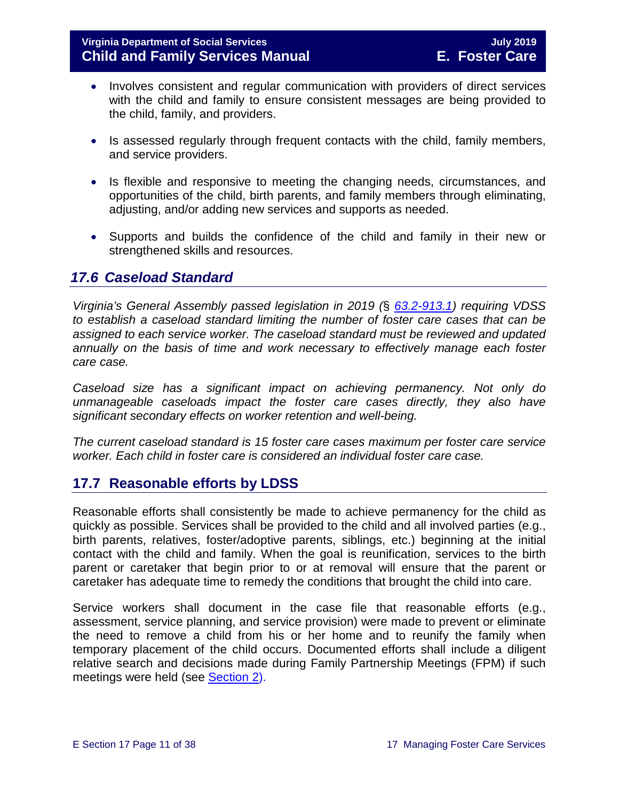- Involves consistent and regular communication with providers of direct services with the child and family to ensure consistent messages are being provided to the child, family, and providers.
- Is assessed regularly through frequent contacts with the child, family members, and service providers.
- Is flexible and responsive to meeting the changing needs, circumstances, and opportunities of the child, birth parents, and family members through eliminating, adjusting, and/or adding new services and supports as needed.
- Supports and builds the confidence of the child and family in their new or strengthened skills and resources.

## <span id="page-10-0"></span>*17.6 Caseload Standard*

*Virginia's General Assembly passed legislation in 2019 (*§ *[63.2-913.1\)](https://law.lis.virginia.gov/vacode/title63.2/chapter9/section63.2-913.1/) requiring VDSS to establish a caseload standard limiting the number of foster care cases that can be assigned to each service worker. The caseload standard must be reviewed and updated annually on the basis of time and work necessary to effectively manage each foster care case.* 

*Caseload size has a significant impact on achieving permanency. Not only do unmanageable caseloads impact the foster care cases directly, they also have significant secondary effects on worker retention and well-being.*

*The current caseload standard is 15 foster care cases maximum per foster care service worker. Each child in foster care is considered an individual foster care case.* 

## <span id="page-10-1"></span>**17.7 Reasonable efforts by LDSS**

Reasonable efforts shall consistently be made to achieve permanency for the child as quickly as possible. Services shall be provided to the child and all involved parties (e.g., birth parents, relatives, foster/adoptive parents, siblings, etc.) beginning at the initial contact with the child and family. When the goal is reunification, services to the birth parent or caretaker that begin prior to or at removal will ensure that the parent or caretaker has adequate time to remedy the conditions that brought the child into care.

Service workers shall document in the case file that reasonable efforts (e.g., assessment, service planning, and service provision) were made to prevent or eliminate the need to remove a child from his or her home and to reunify the family when temporary placement of the child occurs. Documented efforts shall include a diligent relative search and decisions made during Family Partnership Meetings (FPM) if such meetings were held (see [Section 2\)](https://fusion.dss.virginia.gov/Portals/%5bdfs%5d/Files/DFS%20Manuals/Foster%20Care%20Manuals/Foster%20Care%20Manual%2007-2019/section_2_engaging_the_child_family_and_significant_adults.pdf).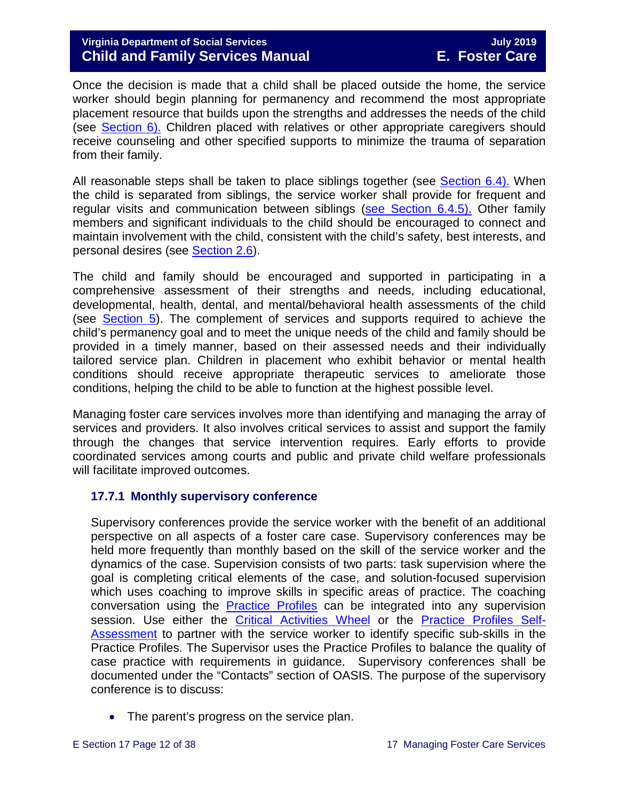## **Virginia Department of Social Services July 2019 Child and Family Services Manual E. Foster Care**

Once the decision is made that a child shall be placed outside the home, the service worker should begin planning for permanency and recommend the most appropriate placement resource that builds upon the strengths and addresses the needs of the child (see [Section 6\).](https://fusion.dss.virginia.gov/Portals/%5bdfs%5d/Files/DFS%20Manuals/Foster%20Care%20Manuals/Foster%20Care%20Manual%2007-2019/section_6_placement_to_achieve_permanency.pdf) Children placed with relatives or other appropriate caregivers should receive counseling and other specified supports to minimize the trauma of separation from their family.

All reasonable steps shall be taken to place siblings together (see Section 6.4). When the child is separated from siblings, the service worker shall provide for frequent and regular visits and communication between siblings (see Section 6.4.5). Other family members and significant individuals to the child should be encouraged to connect and maintain involvement with the child, consistent with the child's safety, best interests, and personal desires (see [Section](https://fusion.dss.virginia.gov/Portals/%5bdfs%5d/Files/DFS%20Manuals/Foster%20Care%20Manuals/Foster%20Care%20Manual%2007-2019/section_2_engaging_the_child_family_and_significant_adults.pdf#page=13) 2.6).

The child and family should be encouraged and supported in participating in a comprehensive assessment of their strengths and needs, including educational, developmental, health, dental, and mental/behavioral health assessments of the child (see [Section 5\)](https://fusion.dss.virginia.gov/Portals/%5bdfs%5d/Files/DFS%20Manuals/Foster%20Care%20Manuals/Foster%20Care%20Manual%2007-2019/section_5_conducting_child_and_family_assessment.pdf). The complement of services and supports required to achieve the child's permanency goal and to meet the unique needs of the child and family should be provided in a timely manner, based on their assessed needs and their individually tailored service plan. Children in placement who exhibit behavior or mental health conditions should receive appropriate therapeutic services to ameliorate those conditions, helping the child to be able to function at the highest possible level.

Managing foster care services involves more than identifying and managing the array of services and providers. It also involves critical services to assist and support the family through the changes that service intervention requires. Early efforts to provide coordinated services among courts and public and private child welfare professionals will facilitate improved outcomes.

## <span id="page-11-0"></span>**17.7.1 Monthly supervisory conference**

Supervisory conferences provide the service worker with the benefit of an additional perspective on all aspects of a foster care case. Supervisory conferences may be held more frequently than monthly based on the skill of the service worker and the dynamics of the case. Supervision consists of two parts: task supervision where the goal is completing critical elements of the case, and solution-focused supervision which uses coaching to improve skills in specific areas of practice. The coaching conversation using the [Practice Profiles](https://fusion.dss.virginia.gov/Portals/%5Bdfs%5D/Files/Children%27s%20Services%20Practice%20Model/Practice%20Profiles%20%26%20Coaching/VDSSFamServ_Practice_ProfilesV12016.pdf) can be integrated into any supervision session. Use either the [Critical Activities Wheel](https://fusion.dss.virginia.gov/Portals/%5Bdfs%5D/Files/Children%27s%20Services%20Practice%20Model/Practice%20Profiles%20%26%20Coaching/Critical_Activities_Wheel.pdf) or the [Practice Profiles Self-](https://fusion.dss.virginia.gov/Portals/%5Bdfs%5D/Files/Children%27s%20Services%20Practice%20Model/Practice%20Profiles%20%26%20Coaching/Practice_Profiles_Self-Assessmentv2.pdf)[Assessment](https://fusion.dss.virginia.gov/Portals/%5Bdfs%5D/Files/Children%27s%20Services%20Practice%20Model/Practice%20Profiles%20%26%20Coaching/Practice_Profiles_Self-Assessmentv2.pdf) to partner with the service worker to identify specific sub-skills in the Practice Profiles. The Supervisor uses the Practice Profiles to balance the quality of case practice with requirements in guidance. Supervisory conferences shall be documented under the "Contacts" section of OASIS. The purpose of the supervisory conference is to discuss:

• The parent's progress on the service plan.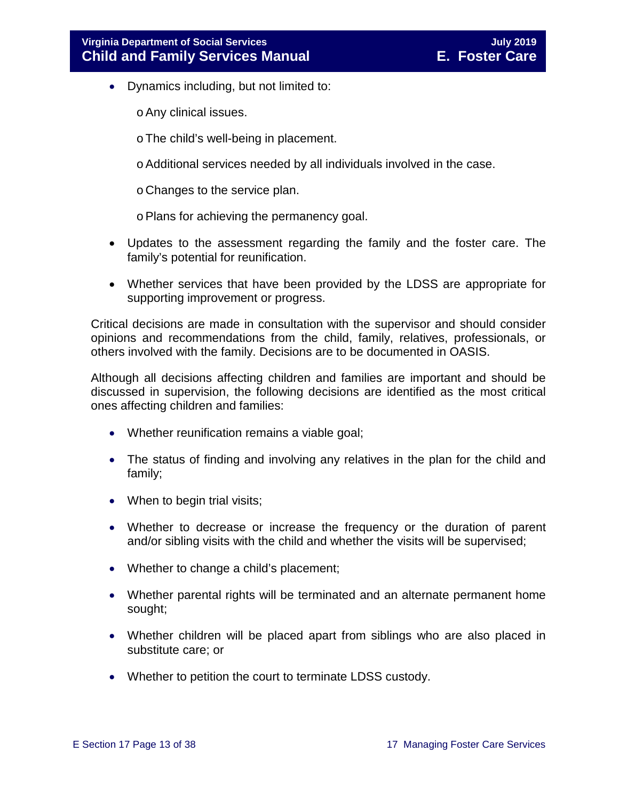- Dynamics including, but not limited to:
	- oAny clinical issues.
	- oThe child's well-being in placement.
	- oAdditional services needed by all individuals involved in the case.
	- o Changes to the service plan.
	- oPlans for achieving the permanency goal.
- Updates to the assessment regarding the family and the foster care. The family's potential for reunification.
- Whether services that have been provided by the LDSS are appropriate for supporting improvement or progress.

Critical decisions are made in consultation with the supervisor and should consider opinions and recommendations from the child, family, relatives, professionals, or others involved with the family. Decisions are to be documented in OASIS.

Although all decisions affecting children and families are important and should be discussed in supervision, the following decisions are identified as the most critical ones affecting children and families:

- Whether reunification remains a viable goal;
- The status of finding and involving any relatives in the plan for the child and family;
- When to begin trial visits;
- Whether to decrease or increase the frequency or the duration of parent and/or sibling visits with the child and whether the visits will be supervised;
- Whether to change a child's placement;
- Whether parental rights will be terminated and an alternate permanent home sought;
- Whether children will be placed apart from siblings who are also placed in substitute care; or
- Whether to petition the court to terminate LDSS custody.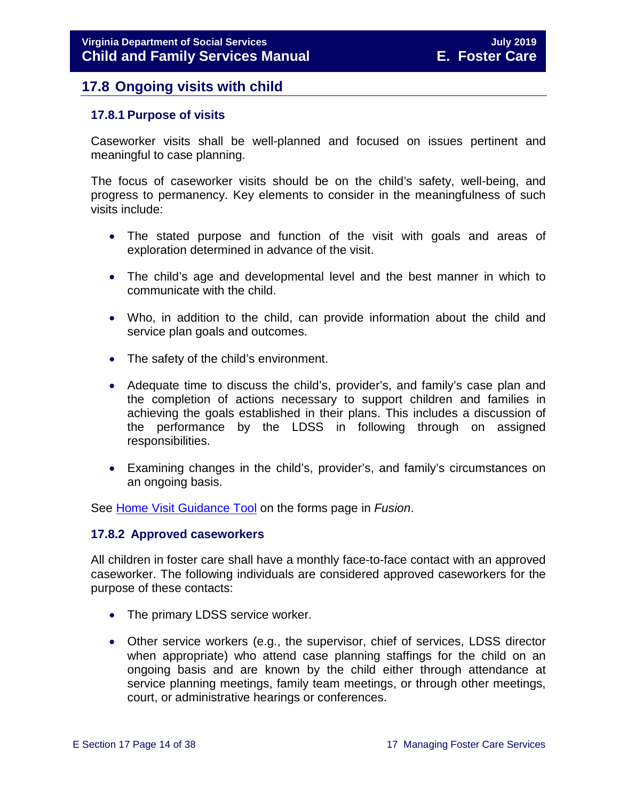## <span id="page-13-0"></span>**17.8 Ongoing visits with child**

## <span id="page-13-1"></span>**17.8.1 Purpose of visits**

Caseworker visits shall be well-planned and focused on issues pertinent and meaningful to case planning.

The focus of caseworker visits should be on the child's safety, well-being, and progress to permanency. Key elements to consider in the meaningfulness of such visits include:

- The stated purpose and function of the visit with goals and areas of exploration determined in advance of the visit.
- The child's age and developmental level and the best manner in which to communicate with the child.
- Who, in addition to the child, can provide information about the child and service plan goals and outcomes.
- The safety of the child's environment.
- Adequate time to discuss the child's, provider's, and family's case plan and the completion of actions necessary to support children and families in achieving the goals established in their plans. This includes a discussion of the performance by the LDSS in following through on assigned responsibilities.
- Examining changes in the child's, provider's, and family's circumstances on an ongoing basis.

See Home Visit [Guidance Tool](https://fusion.dss.virginia.gov/Portals/%5Bdfs%5D/Files/Foster%20Care/Job%20Aids%20%26%20Resources/Monthly%20Worker%20Visit%20Checklist.pdf) on the forms page in *Fusion*.

#### <span id="page-13-2"></span>**17.8.2 Approved caseworkers**

All children in foster care shall have a monthly face-to-face contact with an approved caseworker. The following individuals are considered approved caseworkers for the purpose of these contacts:

- The primary LDSS service worker.
- Other service workers (e.g., the supervisor, chief of services, LDSS director when appropriate) who attend case planning staffings for the child on an ongoing basis and are known by the child either through attendance at service planning meetings, family team meetings, or through other meetings, court, or administrative hearings or conferences.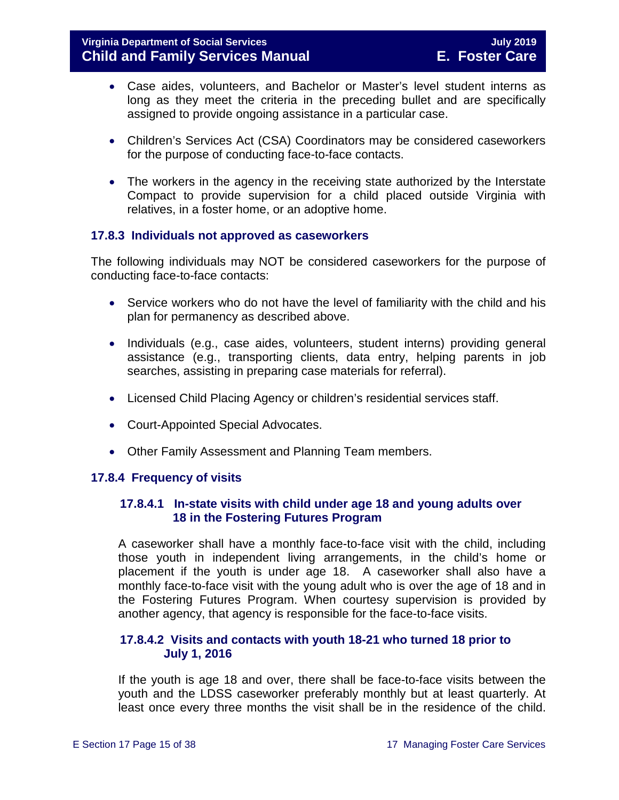- Case aides, volunteers, and Bachelor or Master's level student interns as long as they meet the criteria in the preceding bullet and are specifically assigned to provide ongoing assistance in a particular case.
- Children's Services Act (CSA) Coordinators may be considered caseworkers for the purpose of conducting face-to-face contacts.
- The workers in the agency in the receiving state authorized by the Interstate Compact to provide supervision for a child placed outside Virginia with relatives, in a foster home, or an adoptive home.

## <span id="page-14-0"></span>**17.8.3 Individuals not approved as caseworkers**

The following individuals may NOT be considered caseworkers for the purpose of conducting face-to-face contacts:

- Service workers who do not have the level of familiarity with the child and his plan for permanency as described above.
- Individuals (e.g., case aides, volunteers, student interns) providing general assistance (e.g., transporting clients, data entry, helping parents in job searches, assisting in preparing case materials for referral).
- Licensed Child Placing Agency or children's residential services staff.
- Court-Appointed Special Advocates.
- Other Family Assessment and Planning Team members.

## <span id="page-14-1"></span>**17.8.4 Frequency of visits**

## **17.8.4.1 In-state visits with child under age 18 and young adults over 18 in the Fostering Futures Program**

A caseworker shall have a monthly face-to-face visit with the child, including those youth in independent living arrangements, in the child's home or placement if the youth is under age 18. A caseworker shall also have a monthly face-to-face visit with the young adult who is over the age of 18 and in the Fostering Futures Program. When courtesy supervision is provided by another agency, that agency is responsible for the face-to-face visits.

## **17.8.4.2 Visits and contacts with youth 18-21 who turned 18 prior to July 1, 2016**

If the youth is age 18 and over, there shall be face-to-face visits between the youth and the LDSS caseworker preferably monthly but at least quarterly. At least once every three months the visit shall be in the residence of the child.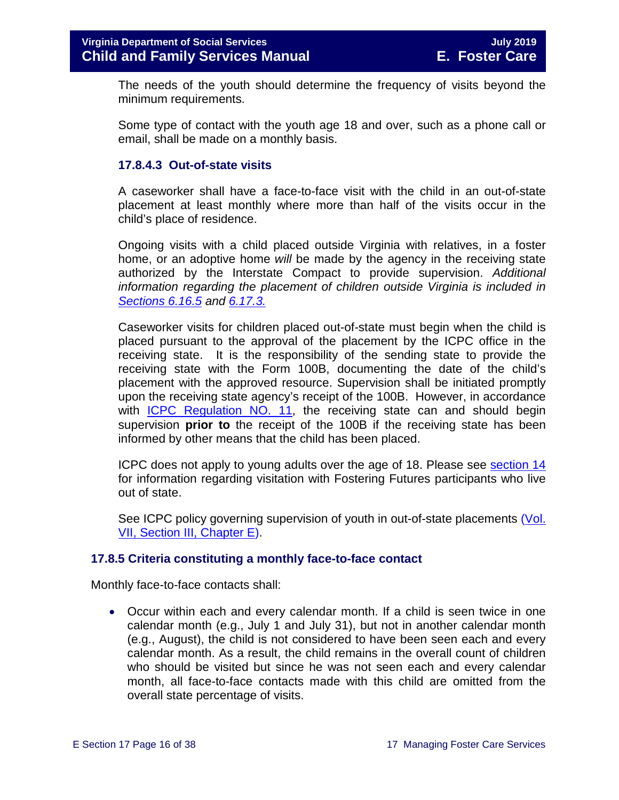The needs of the youth should determine the frequency of visits beyond the minimum requirements.

Some type of contact with the youth age 18 and over, such as a phone call or email, shall be made on a monthly basis.

### **17.8.4.3 Out-of-state visits**

A caseworker shall have a face-to-face visit with the child in an out-of-state placement at least monthly where more than half of the visits occur in the child's place of residence.

Ongoing visits with a child placed outside Virginia with relatives, in a foster home, or an adoptive home *will* be made by the agency in the receiving state authorized by the Interstate Compact to provide supervision. *Additional information regarding the placement of children outside Virginia is included in Sections 6.16.5 and 6.17.3.* 

Caseworker visits for children placed out-of-state must begin when the child is placed pursuant to the approval of the placement by the ICPC office in the receiving state. It is the responsibility of the sending state to provide the receiving state with the Form 100B, documenting the date of the child's placement with the approved resource. Supervision shall be initiated promptly upon the receiving state agency's receipt of the 100B. However, in accordance with **ICPC** Regulation NO. 11, the receiving state can and should begin supervision **prior to** the receipt of the 100B if the receiving state has been informed by other means that the child has been placed.

ICPC does not apply to young adults over the age of 18. Please see [section 14](https://fusion.dss.virginia.gov/Portals/%5bdfs%5d/Files/DFS%20Manuals/Foster%20Care%20Manuals/Foster%20Care%20Manual%2007-2019/Section_14_Fostering_Futures.pdf) for information regarding visitation with Fostering Futures participants who live out of state.

See ICPC policy governing supervision of youth in out-of-state placements (Vol. [VII, Section III, Chapter](https://fusion.dss.virginia.gov/Portals/%5Bdfs%5D/Files/ICPC%20and%20ICAMA/procedures.pdf) E).

#### <span id="page-15-0"></span>**17.8.5 Criteria constituting a monthly face-to-face contact**

Monthly face-to-face contacts shall:

• Occur within each and every calendar month. If a child is seen twice in one calendar month (e.g., July 1 and July 31), but not in another calendar month (e.g., August), the child is not considered to have been seen each and every calendar month. As a result, the child remains in the overall count of children who should be visited but since he was not seen each and every calendar month, all face-to-face contacts made with this child are omitted from the overall state percentage of visits.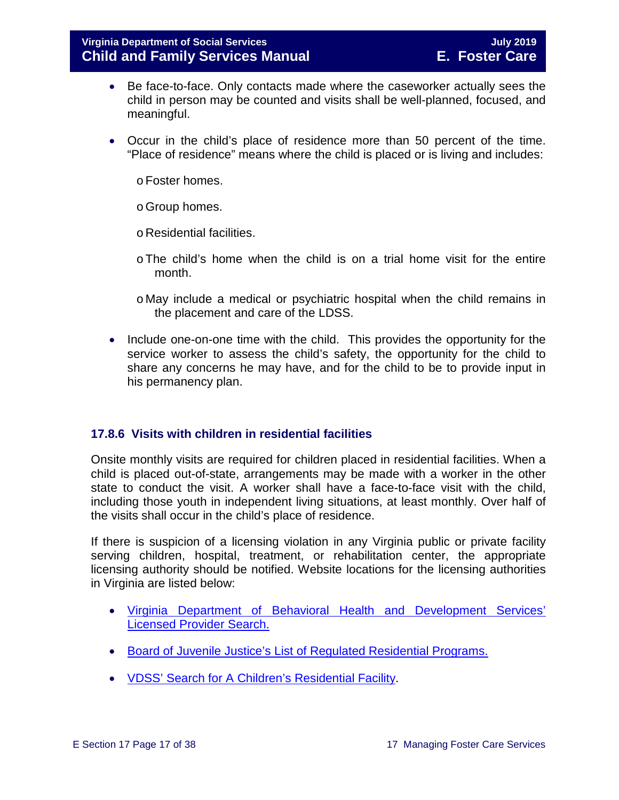- Be face-to-face. Only contacts made where the caseworker actually sees the child in person may be counted and visits shall be well-planned, focused, and meaningful.
- Occur in the child's place of residence more than 50 percent of the time. "Place of residence" means where the child is placed or is living and includes:
	- oFoster homes.
	- oGroup homes.
	- o Residential facilities.
	- oThe child's home when the child is on a trial home visit for the entire month.
	- o May include a medical or psychiatric hospital when the child remains in the placement and care of the LDSS.
- Include one-on-one time with the child. This provides the opportunity for the service worker to assess the child's safety, the opportunity for the child to share any concerns he may have, and for the child to be to provide input in his permanency plan.

## <span id="page-16-0"></span>**17.8.6 Visits with children in residential facilities**

Onsite monthly visits are required for children placed in residential facilities. When a child is placed out-of-state, arrangements may be made with a worker in the other state to conduct the visit. A worker shall have a face-to-face visit with the child, including those youth in independent living situations, at least monthly. Over half of the visits shall occur in the child's place of residence.

If there is suspicion of a licensing violation in any Virginia public or private facility serving children, hospital, treatment, or rehabilitation center, the appropriate licensing authority should be notified. Website locations for the licensing authorities in Virginia are listed below:

- [Virginia Department of Behavioral Health and Development Services'](http://www.dbhds.virginia.gov/professionals-and-service-providers/licensing)  [Licensed Provider Search.](http://www.dbhds.virginia.gov/professionals-and-service-providers/licensing)
- [Board of Juvenile Justice's List of Regulated Residential Programs.](http://www.djj.virginia.gov/pages/about-djj/djj-board.htm)
- [VDSS' Search for A Children's Residential Facility.](http://www.dss.virginia.gov/facility/search/crf.cgi)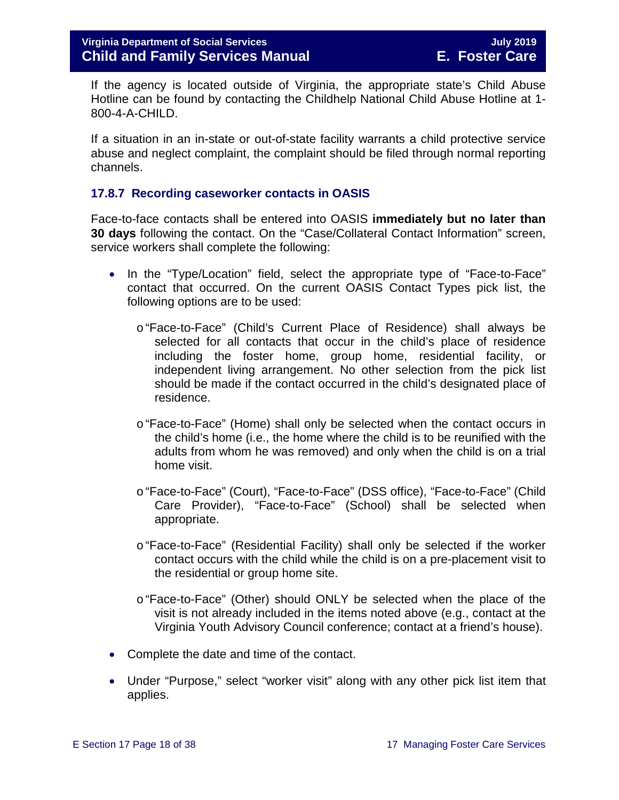If the agency is located outside of Virginia, the appropriate state's Child Abuse Hotline can be found by contacting the Childhelp National Child Abuse Hotline at 1- 800-4-A-CHILD.

If a situation in an in-state or out-of-state facility warrants a child protective service abuse and neglect complaint, the complaint should be filed through normal reporting channels.

## <span id="page-17-0"></span>**17.8.7 Recording caseworker contacts in OASIS**

Face-to-face contacts shall be entered into OASIS **immediately but no later than 30 days** following the contact. On the "Case/Collateral Contact Information" screen, service workers shall complete the following:

- In the "Type/Location" field, select the appropriate type of "Face-to-Face" contact that occurred. On the current OASIS Contact Types pick list, the following options are to be used:
	- o"Face-to-Face" (Child's Current Place of Residence) shall always be selected for all contacts that occur in the child's place of residence including the foster home, group home, residential facility, or independent living arrangement. No other selection from the pick list should be made if the contact occurred in the child's designated place of residence.
	- o"Face-to-Face" (Home) shall only be selected when the contact occurs in the child's home (i.e., the home where the child is to be reunified with the adults from whom he was removed) and only when the child is on a trial home visit.
	- o"Face-to-Face" (Court), "Face-to-Face" (DSS office), "Face-to-Face" (Child Care Provider), "Face-to-Face" (School) shall be selected when appropriate.
	- o"Face-to-Face" (Residential Facility) shall only be selected if the worker contact occurs with the child while the child is on a pre-placement visit to the residential or group home site.
	- o"Face-to-Face" (Other) should ONLY be selected when the place of the visit is not already included in the items noted above (e.g., contact at the Virginia Youth Advisory Council conference; contact at a friend's house).
- Complete the date and time of the contact.
- Under "Purpose," select "worker visit" along with any other pick list item that applies.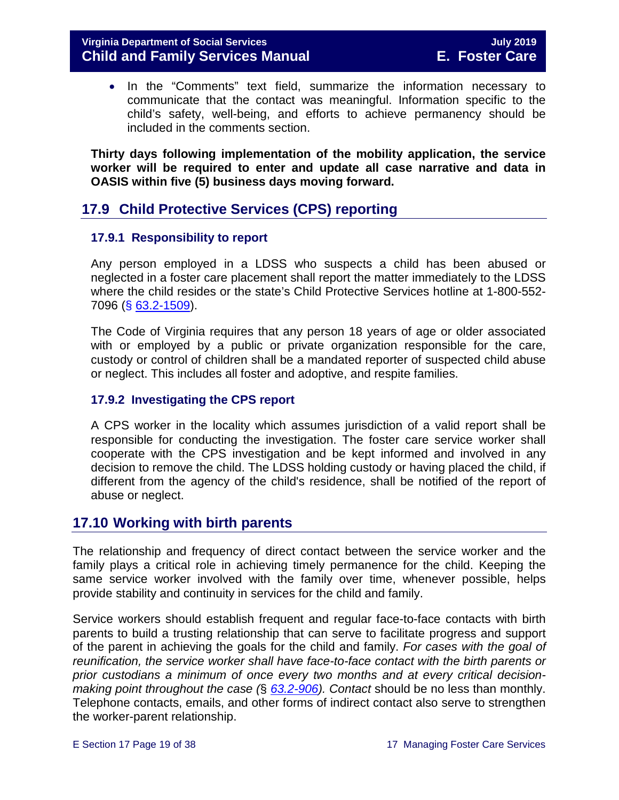• In the "Comments" text field, summarize the information necessary to communicate that the contact was meaningful. Information specific to the child's safety, well-being, and efforts to achieve permanency should be included in the comments section.

**Thirty days following implementation of the mobility application, the service worker will be required to enter and update all case narrative and data in OASIS within five (5) business days moving forward.** 

## <span id="page-18-0"></span>**17.9 Child Protective Services (CPS) reporting**

## <span id="page-18-1"></span>**17.9.1 Responsibility to report**

Any person employed in a LDSS who suspects a child has been abused or neglected in a foster care placement shall report the matter immediately to the LDSS where the child resides or the state's Child Protective Services hotline at 1-800-552- 7096 (§ [63.2-1509\)](http://law.lis.virginia.gov/vacode/63.2-1509/).

The Code of Virginia requires that any person 18 years of age or older associated with or employed by a public or private organization responsible for the care, custody or control of children shall be a mandated reporter of suspected child abuse or neglect. This includes all foster and adoptive, and respite families.

## <span id="page-18-2"></span>**17.9.2 Investigating the CPS report**

A CPS worker in the locality which assumes jurisdiction of a valid report shall be responsible for conducting the investigation. The foster care service worker shall cooperate with the CPS investigation and be kept informed and involved in any decision to remove the child. The LDSS holding custody or having placed the child, if different from the agency of the child's residence, shall be notified of the report of abuse or neglect.

## <span id="page-18-3"></span>**17.10 Working with birth parents**

The relationship and frequency of direct contact between the service worker and the family plays a critical role in achieving timely permanence for the child. Keeping the same service worker involved with the family over time, whenever possible, helps provide stability and continuity in services for the child and family.

Service workers should establish frequent and regular face-to-face contacts with birth parents to build a trusting relationship that can serve to facilitate progress and support of the parent in achieving the goals for the child and family. *For cases with the goal of reunification, the service worker shall have face-to-face contact with the birth parents or prior custodians a minimum of once every two months and at every critical decisionmaking point throughout the case (*§ *[63.2-906\)](https://law.lis.virginia.gov/vacode/title63.2/chapter9/section63.2-906/). Contact* should be no less than monthly. Telephone contacts, emails, and other forms of indirect contact also serve to strengthen the worker-parent relationship.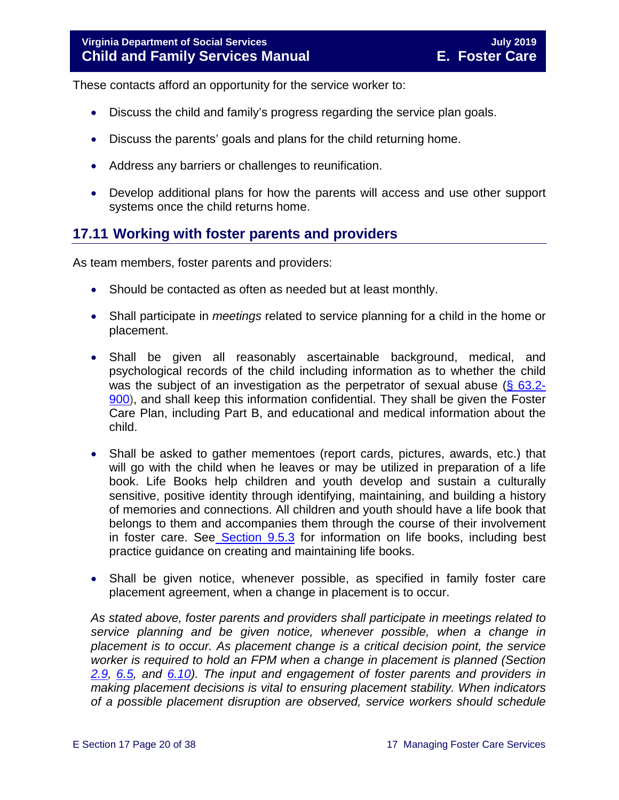These contacts afford an opportunity for the service worker to:

- Discuss the child and family's progress regarding the service plan goals.
- Discuss the parents' goals and plans for the child returning home.
- Address any barriers or challenges to reunification.
- Develop additional plans for how the parents will access and use other support systems once the child returns home.

## <span id="page-19-0"></span>**17.11 Working with foster parents and providers**

As team members, foster parents and providers:

- Should be contacted as often as needed but at least monthly.
- Shall participate in *meetings* related to service planning for a child in the home or placement.
- Shall be given all reasonably ascertainable background, medical, and psychological records of the child including information as to whether the child was the subject of an investigation as the perpetrator of sexual abuse  $(\S$  63.2-[900\)](https://law.lis.virginia.gov/vacode/title63.2/chapter9/section63.2-900/), and shall keep this information confidential. They shall be given the Foster Care Plan, including Part B, and educational and medical information about the child.
- Shall be asked to gather mementoes (report cards, pictures, awards, etc.) that will go with the child when he leaves or may be utilized in preparation of a life book. Life Books help children and youth develop and sustain a culturally sensitive, positive identity through identifying, maintaining, and building a history of memories and connections. All children and youth should have a life book that belongs to them and accompanies them through the course of their involvement in foster care. See [Section 9.5.3](https://fusion.dss.virginia.gov/Portals/%5bdfs%5d/Files/DFS%20Manuals/Foster%20Care%20Manuals/Foster%20Care%20Manual%2007-2019/section_9_achieving_permanency_goal_adoption.pdf#page=18) for information on life books, including best practice guidance on creating and maintaining life books.
- Shall be given notice, whenever possible, as specified in family foster care placement agreement, when a change in placement is to occur.

*As stated above, foster parents and providers shall participate in meetings related to service planning and be given notice, whenever possible, when a change in placement is to occur. As placement change is a critical decision point, the service worker is required to hold an FPM when a change in placement is planned (Section [2.9,](https://fusion.dss.virginia.gov/Portals/%5bdfs%5d/Files/DFS%20Manuals/Foster%20Care%20Manuals/Foster%20Care%20Manual%2007-2019/section_2_engaging_the_child_family_and_significant_adults.pdf#page=19) 6.5, and 6.10). The input and engagement of foster parents and providers in making placement decisions is vital to ensuring placement stability. When indicators of a possible placement disruption are observed, service workers should schedule*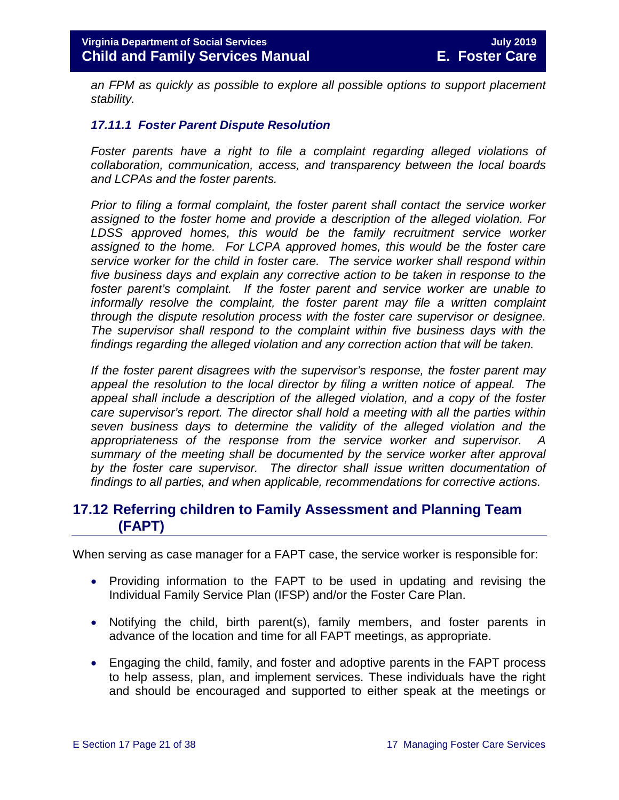*an FPM as quickly as possible to explore all possible options to support placement stability.*

## <span id="page-20-0"></span>*17.11.1 Foster Parent Dispute Resolution*

*Foster parents have a right to file a complaint regarding alleged violations of collaboration, communication, access, and transparency between the local boards and LCPAs and the foster parents.* 

*Prior to filing a formal complaint, the foster parent shall contact the service worker assigned to the foster home and provide a description of the alleged violation. For LDSS approved homes, this would be the family recruitment service worker assigned to the home. For LCPA approved homes, this would be the foster care service worker for the child in foster care. The service worker shall respond within five business days and explain any corrective action to be taken in response to the foster parent's complaint. If the foster parent and service worker are unable to informally resolve the complaint, the foster parent may file a written complaint through the dispute resolution process with the foster care supervisor or designee. The supervisor shall respond to the complaint within five business days with the findings regarding the alleged violation and any correction action that will be taken.* 

*If the foster parent disagrees with the supervisor's response, the foster parent may appeal the resolution to the local director by filing a written notice of appeal. The appeal shall include a description of the alleged violation, and a copy of the foster care supervisor's report. The director shall hold a meeting with all the parties within seven business days to determine the validity of the alleged violation and the appropriateness of the response from the service worker and supervisor. A summary of the meeting shall be documented by the service worker after approval by the foster care supervisor. The director shall issue written documentation of findings to all parties, and when applicable, recommendations for corrective actions.*

## <span id="page-20-1"></span>**17.12 Referring children to Family Assessment and Planning Team (FAPT)**

When serving as case manager for a FAPT case, the service worker is responsible for:

- Providing information to the FAPT to be used in updating and revising the Individual Family Service Plan (IFSP) and/or the Foster Care Plan.
- Notifying the child, birth parent(s), family members, and foster parents in advance of the location and time for all FAPT meetings, as appropriate.
- Engaging the child, family, and foster and adoptive parents in the FAPT process to help assess, plan, and implement services. These individuals have the right and should be encouraged and supported to either speak at the meetings or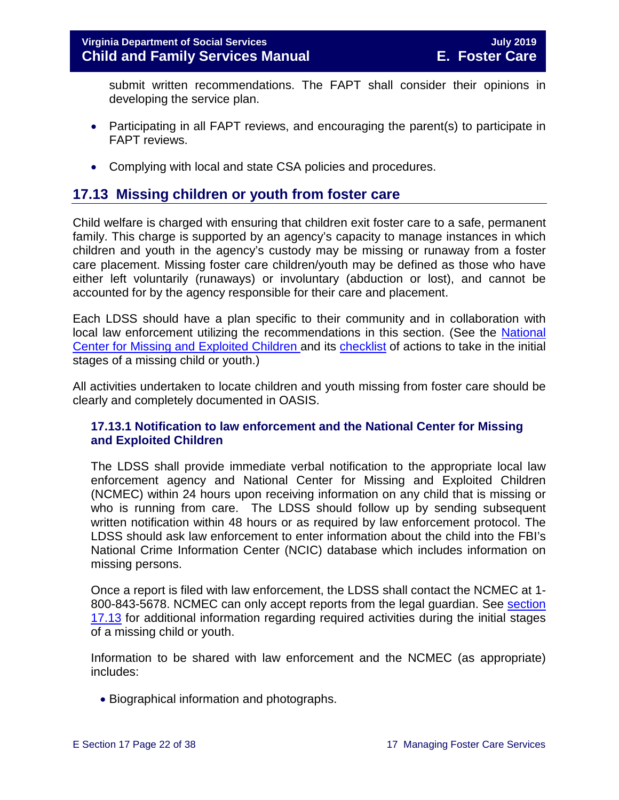submit written recommendations. The FAPT shall consider their opinions in developing the service plan.

- Participating in all FAPT reviews, and encouraging the parent(s) to participate in FAPT reviews.
- Complying with local and state CSA policies and procedures.

## <span id="page-21-0"></span>**17.13 Missing children or youth from foster care**

Child welfare is charged with ensuring that children exit foster care to a safe, permanent family. This charge is supported by an agency's capacity to manage instances in which children and youth in the agency's custody may be missing or runaway from a foster care placement. Missing foster care children/youth may be defined as those who have either left voluntarily (runaways) or involuntary (abduction or lost), and cannot be accounted for by the agency responsible for their care and placement.

Each LDSS should have a plan specific to their community and in collaboration with local law enforcement utilizing the recommendations in this section. (See the [National](http://www.missingkids.com/MissingChild)  [Center for Missing and Exploited Children](http://www.missingkids.com/MissingChild) and its [checklist](http://www.missingkids.com/content/dam/missingkids/pdfs/publications/nc198.pdf) of actions to take in the initial stages of a missing child or youth.)

All activities undertaken to locate children and youth missing from foster care should be clearly and completely documented in OASIS.

## <span id="page-21-1"></span>**17.13.1 Notification to law enforcement and the National Center for Missing and Exploited Children**

The LDSS shall provide immediate verbal notification to the appropriate local law enforcement agency and National Center for Missing and Exploited Children (NCMEC) within 24 hours upon receiving information on any child that is missing or who is running from care. The LDSS should follow up by sending subsequent written notification within 48 hours or as required by law enforcement protocol. The LDSS should ask law enforcement to enter information about the child into the FBI's National Crime Information Center (NCIC) database which includes information on missing persons.

Once a report is filed with law enforcement, the LDSS shall contact the NCMEC at 1- 800-843-5678. NCMEC can only accept reports from the legal guardian. See [section](#page-21-0)  [17.13](#page-21-0) for additional information regarding required activities during the initial stages of a missing child or youth.

Information to be shared with law enforcement and the NCMEC (as appropriate) includes:

• Biographical information and photographs.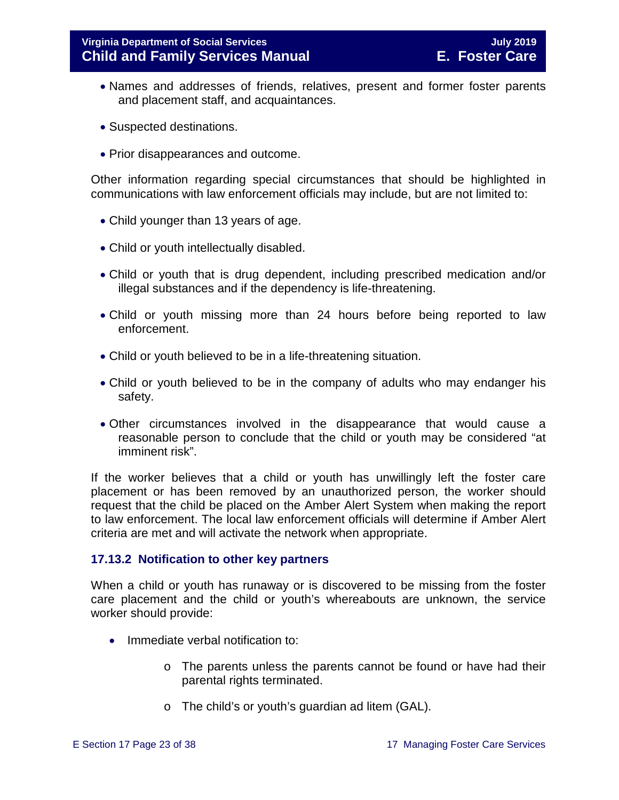- Names and addresses of friends, relatives, present and former foster parents and placement staff, and acquaintances.
- Suspected destinations.
- Prior disappearances and outcome.

Other information regarding special circumstances that should be highlighted in communications with law enforcement officials may include, but are not limited to:

- Child younger than 13 years of age.
- Child or youth intellectually disabled.
- Child or youth that is drug dependent, including prescribed medication and/or illegal substances and if the dependency is life-threatening.
- Child or youth missing more than 24 hours before being reported to law enforcement.
- Child or youth believed to be in a life-threatening situation.
- Child or youth believed to be in the company of adults who may endanger his safety.
- Other circumstances involved in the disappearance that would cause a reasonable person to conclude that the child or youth may be considered "at imminent risk".

If the worker believes that a child or youth has unwillingly left the foster care placement or has been removed by an unauthorized person, the worker should request that the child be placed on the Amber Alert System when making the report to law enforcement. The local law enforcement officials will determine if Amber Alert criteria are met and will activate the network when appropriate.

#### <span id="page-22-0"></span>**17.13.2 Notification to other key partners**

When a child or youth has runaway or is discovered to be missing from the foster care placement and the child or youth's whereabouts are unknown, the service worker should provide:

- Immediate verbal notification to:
	- o The parents unless the parents cannot be found or have had their parental rights terminated.
	- o The child's or youth's guardian ad litem (GAL).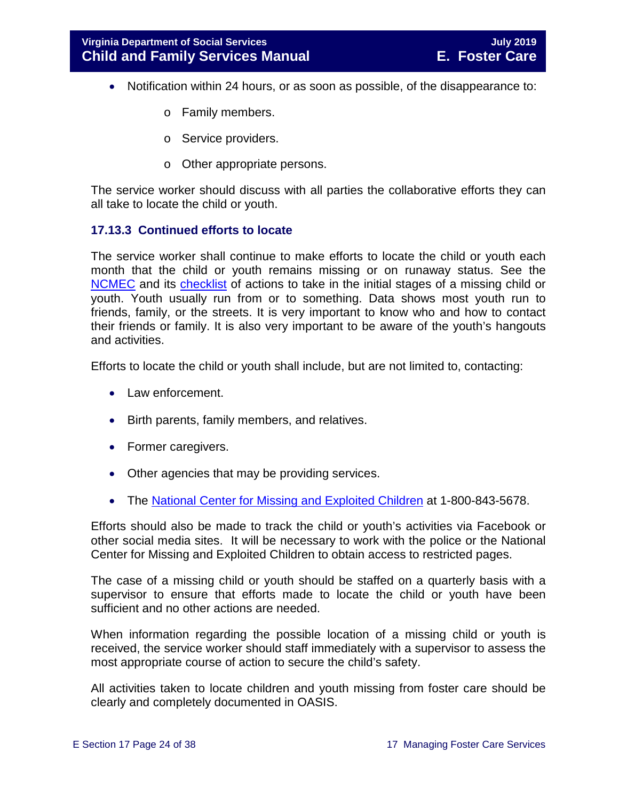- Notification within 24 hours, or as soon as possible, of the disappearance to:
	- o Family members.
	- o Service providers.
	- o Other appropriate persons.

The service worker should discuss with all parties the collaborative efforts they can all take to locate the child or youth.

## <span id="page-23-0"></span>**17.13.3 Continued efforts to locate**

The service worker shall continue to make efforts to locate the child or youth each month that the child or youth remains missing or on runaway status. See the [NCMEC](http://www.missingkids.com/MissingChild) and its [checklist](http://www.missingkids.com/content/dam/missingkids/pdfs/publications/nc198.pdf) of actions to take in the initial stages of a missing child or youth. Youth usually run from or to something. Data shows most youth run to friends, family, or the streets. It is very important to know who and how to contact their friends or family. It is also very important to be aware of the youth's hangouts and activities.

Efforts to locate the child or youth shall include, but are not limited to, contacting:

- Law enforcement.
- Birth parents, family members, and relatives.
- Former caregivers.
- Other agencies that may be providing services.
- The [National Center for Missing and Exploited Children](http://www.missingkids.com/MissingChild) at 1-800-843-5678.

Efforts should also be made to track the child or youth's activities via Facebook or other social media sites. It will be necessary to work with the police or the National Center for Missing and Exploited Children to obtain access to restricted pages.

The case of a missing child or youth should be staffed on a quarterly basis with a supervisor to ensure that efforts made to locate the child or youth have been sufficient and no other actions are needed.

When information regarding the possible location of a missing child or youth is received, the service worker should staff immediately with a supervisor to assess the most appropriate course of action to secure the child's safety.

All activities taken to locate children and youth missing from foster care should be clearly and completely documented in OASIS.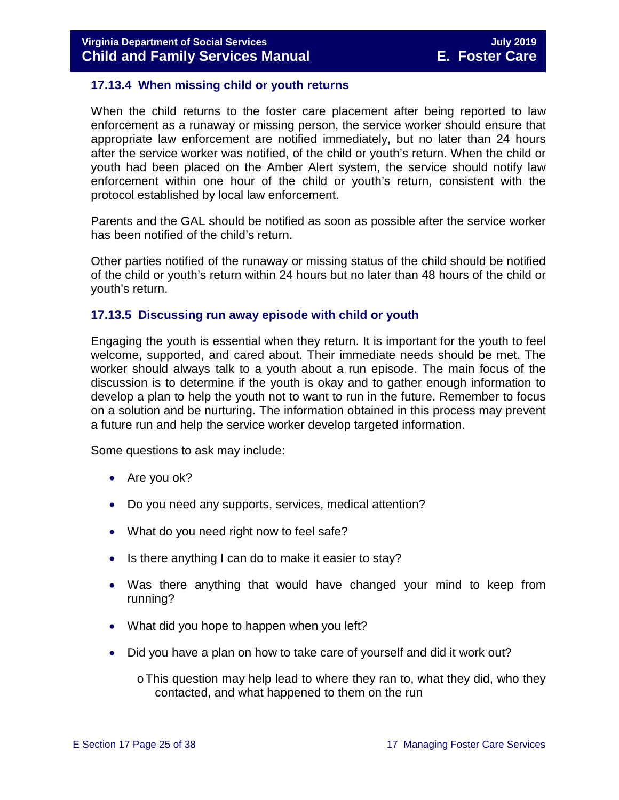## <span id="page-24-0"></span>**17.13.4 When missing child or youth returns**

When the child returns to the foster care placement after being reported to law enforcement as a runaway or missing person, the service worker should ensure that appropriate law enforcement are notified immediately, but no later than 24 hours after the service worker was notified, of the child or youth's return. When the child or youth had been placed on the Amber Alert system, the service should notify law enforcement within one hour of the child or youth's return, consistent with the protocol established by local law enforcement.

Parents and the GAL should be notified as soon as possible after the service worker has been notified of the child's return.

Other parties notified of the runaway or missing status of the child should be notified of the child or youth's return within 24 hours but no later than 48 hours of the child or youth's return.

#### <span id="page-24-1"></span>**17.13.5 Discussing run away episode with child or youth**

Engaging the youth is essential when they return. It is important for the youth to feel welcome, supported, and cared about. Their immediate needs should be met. The worker should always talk to a youth about a run episode. The main focus of the discussion is to determine if the youth is okay and to gather enough information to develop a plan to help the youth not to want to run in the future. Remember to focus on a solution and be nurturing. The information obtained in this process may prevent a future run and help the service worker develop targeted information.

Some questions to ask may include:

- Are you ok?
- Do you need any supports, services, medical attention?
- What do you need right now to feel safe?
- Is there anything I can do to make it easier to stay?
- Was there anything that would have changed your mind to keep from running?
- What did you hope to happen when you left?
- Did you have a plan on how to take care of yourself and did it work out?

 $\circ$  This question may help lead to where they ran to, what they did, who they contacted, and what happened to them on the run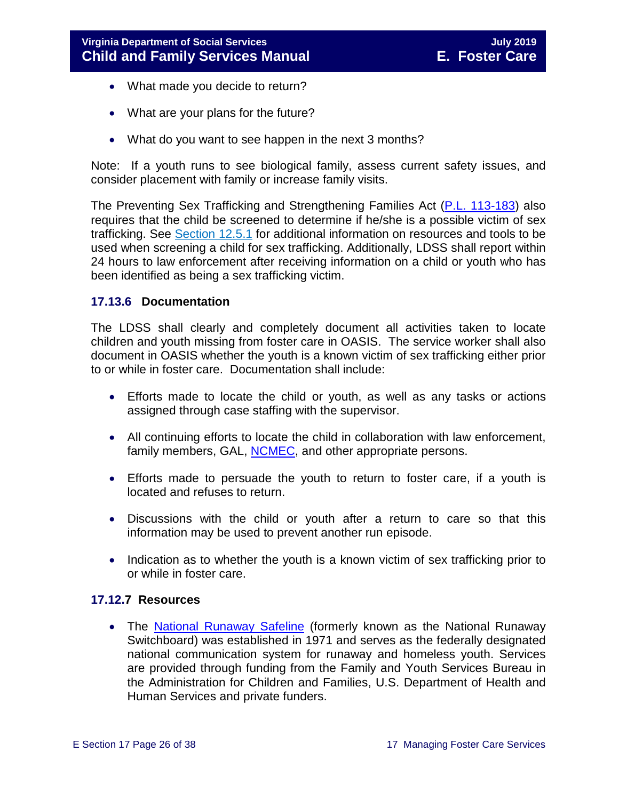- What made you decide to return?
- What are your plans for the future?
- What do you want to see happen in the next 3 months?

Note: If a youth runs to see biological family, assess current safety issues, and consider placement with family or increase family visits.

The Preventing Sex Trafficking and Strengthening Families Act [\(P.L. 113-183\)](https://www.congress.gov/113/plaws/publ183/PLAW-113publ183.pdf) also requires that the child be screened to determine if he/she is a possible victim of sex trafficking. See [Section 12.5.1](https://fusion.dss.virginia.gov/Portals/%5bdfs%5d/Files/DFS%20Manuals/Foster%20Care%20Manuals/Foster%20Care%20Manual%2007-2019/section_12_identifying_services_to_be_provided.pdf#page=10) for additional information on resources and tools to be used when screening a child for sex trafficking. Additionally, LDSS shall report within 24 hours to law enforcement after receiving information on a child or youth who has been identified as being a sex trafficking victim.

#### <span id="page-25-0"></span>**17.13.6 Documentation**

The LDSS shall clearly and completely document all activities taken to locate children and youth missing from foster care in OASIS. The service worker shall also document in OASIS whether the youth is a known victim of sex trafficking either prior to or while in foster care. Documentation shall include:

- Efforts made to locate the child or youth, as well as any tasks or actions assigned through case staffing with the supervisor.
- All continuing efforts to locate the child in collaboration with law enforcement, family members, GAL, [NCMEC,](http://www.missingkids.com/MissingChild) and other appropriate persons.
- Efforts made to persuade the youth to return to foster care, if a youth is located and refuses to return.
- Discussions with the child or youth after a return to care so that this information may be used to prevent another run episode.
- Indication as to whether the youth is a known victim of sex trafficking prior to or while in foster care.

#### <span id="page-25-1"></span>**17.12.7 Resources**

• The **National Runaway Safeline** (formerly known as the National Runaway Switchboard) was established in 1971 and serves as the federally designated national communication system for runaway and homeless youth. Services are provided through funding from the Family and Youth Services Bureau in the Administration for Children and Families, U.S. Department of Health and Human Services and private funders.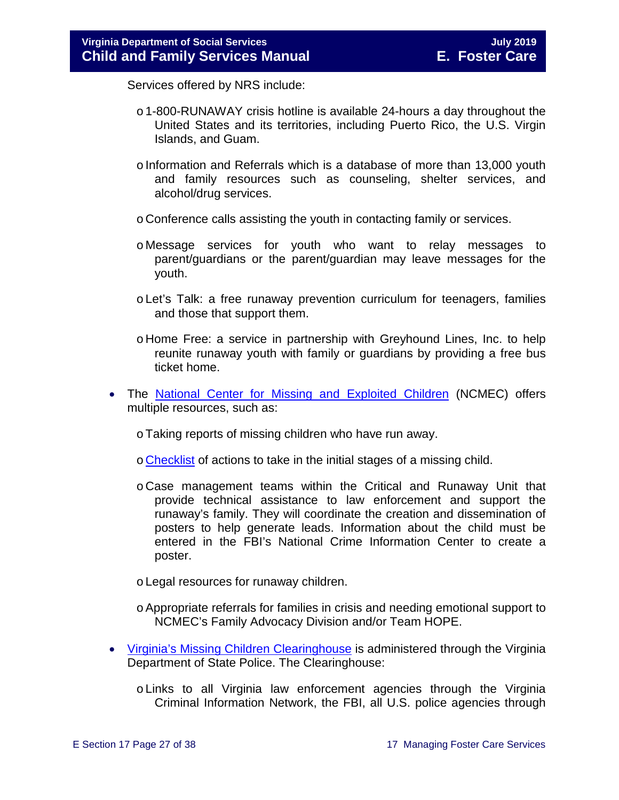Services offered by NRS include:

- o1-800-RUNAWAY crisis hotline is available 24-hours a day throughout the United States and its territories, including Puerto Rico, the U.S. Virgin Islands, and Guam.
- $\circ$  Information and Referrals which is a database of more than 13,000 youth and family resources such as counseling, shelter services, and alcohol/drug services.
- o Conference calls assisting the youth in contacting family or services.
- o Message services for youth who want to relay messages to parent/guardians or the parent/guardian may leave messages for the youth.
- oLet's Talk: a free runaway prevention curriculum for teenagers, families and those that support them.
- o Home Free: a service in partnership with Greyhound Lines, Inc. to help reunite runaway youth with family or guardians by providing a free bus ticket home.
- The [National Center for Missing and Exploited Children](http://www.missingkids.com/MissingChild) (NCMEC) offers multiple resources, such as:
	- oTaking reports of missing children who have run away.
	- o [Checklist](http://www.missingkids.com/content/dam/missingkids/pdfs/publications/nc198.pdf) of actions to take in the initial stages of a missing child.
	- o Case management teams within the Critical and Runaway Unit that provide technical assistance to law enforcement and support the runaway's family. They will coordinate the creation and dissemination of posters to help generate leads. Information about the child must be entered in the FBI's National Crime Information Center to create a poster.
	- oLegal resources for runaway children.
	- oAppropriate referrals for families in crisis and needing emotional support to NCMEC's Family Advocacy Division and/or Team HOPE.
- [Virginia's Missing Children Clearinghouse](http://www.vsp.state.va.us/CJIS_VMEC.shtm) is administered through the Virginia Department of State Police. The Clearinghouse:
	- oLinks to all Virginia law enforcement agencies through the Virginia Criminal Information Network, the FBI, all U.S. police agencies through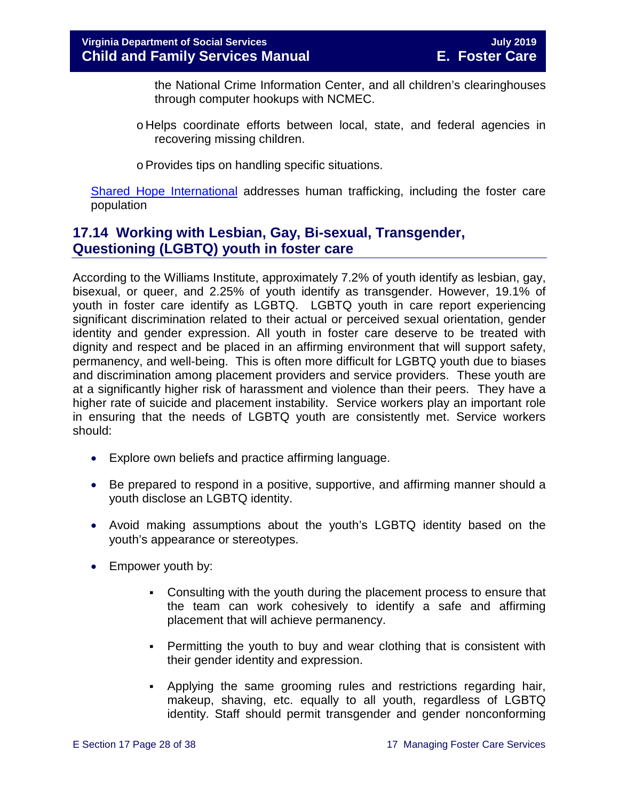the National Crime Information Center, and all children's clearinghouses through computer hookups with NCMEC.

- o Helps coordinate efforts between local, state, and federal agencies in recovering missing children.
- oProvides tips on handling specific situations.

[Shared Hope International](http://sharedhope.org/what-we-do/) addresses human trafficking, including the foster care population

## <span id="page-27-0"></span>**17.14 Working with Lesbian, Gay, Bi-sexual, Transgender, Questioning (LGBTQ) youth in foster care**

According to the Williams Institute, approximately 7.2% of youth identify as lesbian, gay, bisexual, or queer, and 2.25% of youth identify as transgender. However, 19.1% of youth in foster care identify as LGBTQ. LGBTQ youth in care report experiencing significant discrimination related to their actual or perceived sexual orientation, gender identity and gender expression. All youth in foster care deserve to be treated with dignity and respect and be placed in an affirming environment that will support safety, permanency, and well-being. This is often more difficult for LGBTQ youth due to biases and discrimination among placement providers and service providers. These youth are at a significantly higher risk of harassment and violence than their peers. They have a higher rate of suicide and placement instability. Service workers play an important role in ensuring that the needs of LGBTQ youth are consistently met. Service workers should:

- Explore own beliefs and practice affirming language.
- Be prepared to respond in a positive, supportive, and affirming manner should a youth disclose an LGBTQ identity.
- Avoid making assumptions about the youth's LGBTQ identity based on the youth's appearance or stereotypes.
- Empower youth by:
	- Consulting with the youth during the placement process to ensure that the team can work cohesively to identify a safe and affirming placement that will achieve permanency.
	- Permitting the youth to buy and wear clothing that is consistent with their gender identity and expression.
	- Applying the same grooming rules and restrictions regarding hair, makeup, shaving, etc. equally to all youth, regardless of LGBTQ identity. Staff should permit transgender and gender nonconforming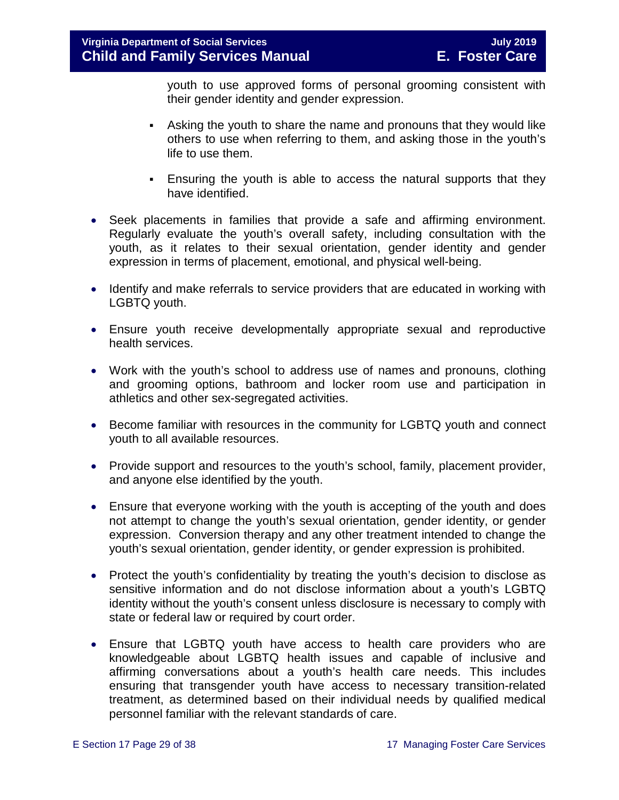youth to use approved forms of personal grooming consistent with their gender identity and gender expression.

- Asking the youth to share the name and pronouns that they would like others to use when referring to them, and asking those in the youth's life to use them.
- Ensuring the youth is able to access the natural supports that they have identified.
- Seek placements in families that provide a safe and affirming environment. Regularly evaluate the youth's overall safety, including consultation with the youth, as it relates to their sexual orientation, gender identity and gender expression in terms of placement, emotional, and physical well-being.
- Identify and make referrals to service providers that are educated in working with LGBTQ youth.
- Ensure youth receive developmentally appropriate sexual and reproductive health services.
- Work with the youth's school to address use of names and pronouns, clothing and grooming options, bathroom and locker room use and participation in athletics and other sex-segregated activities.
- Become familiar with resources in the community for LGBTQ youth and connect youth to all available resources.
- Provide support and resources to the youth's school, family, placement provider, and anyone else identified by the youth.
- Ensure that everyone working with the youth is accepting of the youth and does not attempt to change the youth's sexual orientation, gender identity, or gender expression. Conversion therapy and any other treatment intended to change the youth's sexual orientation, gender identity, or gender expression is prohibited.
- Protect the youth's confidentiality by treating the youth's decision to disclose as sensitive information and do not disclose information about a youth's LGBTQ identity without the youth's consent unless disclosure is necessary to comply with state or federal law or required by court order.
- Ensure that LGBTQ youth have access to health care providers who are knowledgeable about LGBTQ health issues and capable of inclusive and affirming conversations about a youth's health care needs. This includes ensuring that transgender youth have access to necessary transition-related treatment, as determined based on their individual needs by qualified medical personnel familiar with the relevant standards of care.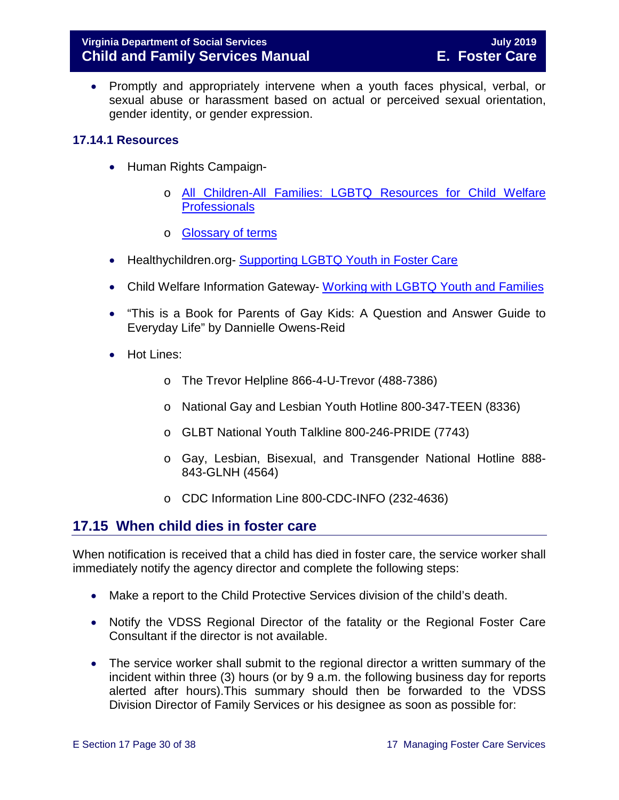• Promptly and appropriately intervene when a youth faces physical, verbal, or sexual abuse or harassment based on actual or perceived sexual orientation, gender identity, or gender expression.

## <span id="page-29-0"></span>**17.14.1 Resources**

- Human Rights Campaign
	- o [All Children-All Families: LGBTQ Resources for Child Welfare](http://www.hrc.org/resources/all-children-all-families-additional-resources#Best%20Practices)  **[Professionals](http://www.hrc.org/resources/all-children-all-families-additional-resources#Best%20Practices)**
	- o [Glossary of terms](https://www.hrc.org/resources/glossary-of-terms)
- Healthychildren.org- [Supporting LGBTQ Youth in Foster Care](https://healthychildren.org/English/family-life/family-dynamics/adoption-and-foster-care/Pages/Supporting-LGBTQ-Youth-in-Foster-Care.aspx)
- Child Welfare Information Gateway- [Working with LGBTQ Youth and Families](https://www.childwelfare.gov/topics/systemwide/diverse-populations/lgbtq/)
- "This is a Book for Parents of Gay Kids: A Question and Answer Guide to Everyday Life" by Dannielle Owens-Reid
- Hot Lines:
	- o The Trevor Helpline 866-4-U-Trevor (488-7386)
	- o National Gay and Lesbian Youth Hotline 800-347-TEEN (8336)
	- o GLBT National Youth Talkline 800-246-PRIDE (7743)
	- o Gay, Lesbian, Bisexual, and Transgender National Hotline 888- 843-GLNH (4564)
	- o CDC Information Line 800-CDC-INFO (232-4636)

## <span id="page-29-1"></span>**17.15 When child dies in foster care**

When notification is received that a child has died in foster care, the service worker shall immediately notify the agency director and complete the following steps:

- Make a report to the Child Protective Services division of the child's death.
- Notify the VDSS Regional Director of the fatality or the Regional Foster Care Consultant if the director is not available.
- The service worker shall submit to the regional director a written summary of the incident within three (3) hours (or by 9 a.m. the following business day for reports alerted after hours).This summary should then be forwarded to the VDSS Division Director of Family Services or his designee as soon as possible for: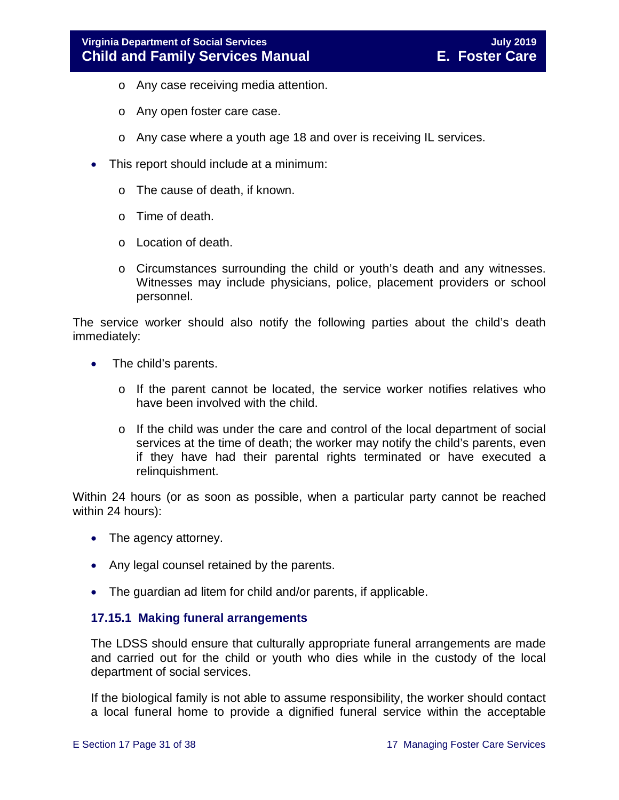- o Any case receiving media attention.
- o Any open foster care case.
- o Any case where a youth age 18 and over is receiving IL services.
- This report should include at a minimum:
	- o The cause of death, if known.
	- o Time of death.
	- o Location of death.
	- o Circumstances surrounding the child or youth's death and any witnesses. Witnesses may include physicians, police, placement providers or school personnel.

The service worker should also notify the following parties about the child's death immediately:

- The child's parents.
	- o If the parent cannot be located, the service worker notifies relatives who have been involved with the child.
	- o If the child was under the care and control of the local department of social services at the time of death; the worker may notify the child's parents, even if they have had their parental rights terminated or have executed a relinquishment.

Within 24 hours (or as soon as possible, when a particular party cannot be reached within 24 hours):

- The agency attorney.
- Any legal counsel retained by the parents.
- The guardian ad litem for child and/or parents, if applicable.

#### <span id="page-30-0"></span>**17.15.1 Making funeral arrangements**

The LDSS should ensure that culturally appropriate funeral arrangements are made and carried out for the child or youth who dies while in the custody of the local department of social services.

If the biological family is not able to assume responsibility, the worker should contact a local funeral home to provide a dignified funeral service within the acceptable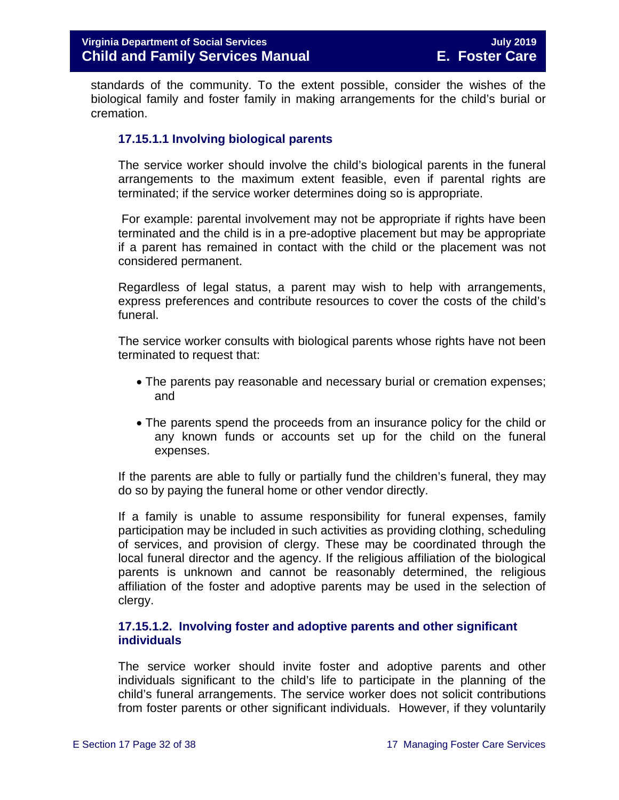standards of the community. To the extent possible, consider the wishes of the biological family and foster family in making arrangements for the child's burial or cremation.

## **17.15.1.1 Involving biological parents**

The service worker should involve the child's biological parents in the funeral arrangements to the maximum extent feasible, even if parental rights are terminated; if the service worker determines doing so is appropriate.

For example: parental involvement may not be appropriate if rights have been terminated and the child is in a pre-adoptive placement but may be appropriate if a parent has remained in contact with the child or the placement was not considered permanent.

Regardless of legal status, a parent may wish to help with arrangements, express preferences and contribute resources to cover the costs of the child's funeral.

The service worker consults with biological parents whose rights have not been terminated to request that:

- The parents pay reasonable and necessary burial or cremation expenses; and
- The parents spend the proceeds from an insurance policy for the child or any known funds or accounts set up for the child on the funeral expenses.

If the parents are able to fully or partially fund the children's funeral, they may do so by paying the funeral home or other vendor directly.

If a family is unable to assume responsibility for funeral expenses, family participation may be included in such activities as providing clothing, scheduling of services, and provision of clergy. These may be coordinated through the local funeral director and the agency. If the religious affiliation of the biological parents is unknown and cannot be reasonably determined, the religious affiliation of the foster and adoptive parents may be used in the selection of clergy.

## **17.15.1.2. Involving foster and adoptive parents and other significant individuals**

The service worker should invite foster and adoptive parents and other individuals significant to the child's life to participate in the planning of the child's funeral arrangements. The service worker does not solicit contributions from foster parents or other significant individuals. However, if they voluntarily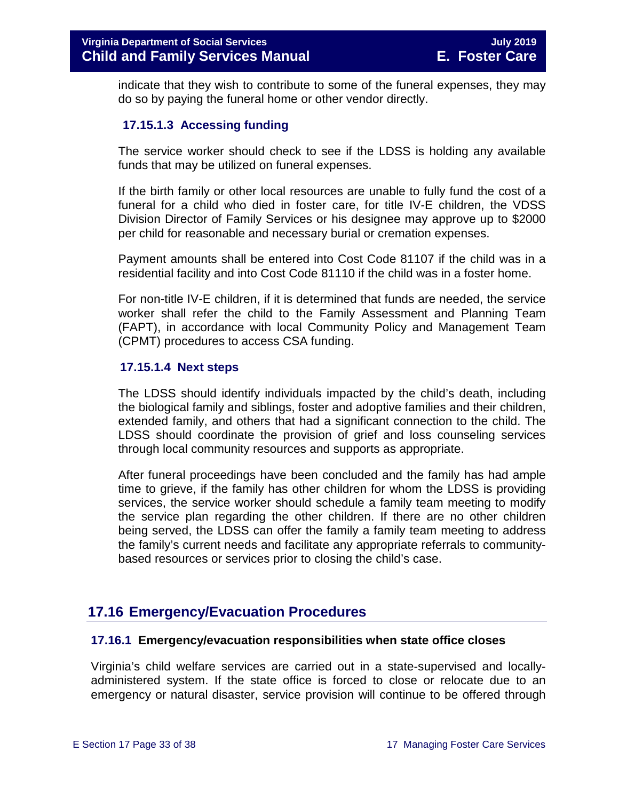indicate that they wish to contribute to some of the funeral expenses, they may do so by paying the funeral home or other vendor directly.

## **17.15.1.3 Accessing funding**

The service worker should check to see if the LDSS is holding any available funds that may be utilized on funeral expenses.

If the birth family or other local resources are unable to fully fund the cost of a funeral for a child who died in foster care, for title IV-E children, the VDSS Division Director of Family Services or his designee may approve up to \$2000 per child for reasonable and necessary burial or cremation expenses.

Payment amounts shall be entered into Cost Code 81107 if the child was in a residential facility and into Cost Code 81110 if the child was in a foster home.

For non-title IV-E children, if it is determined that funds are needed, the service worker shall refer the child to the Family Assessment and Planning Team (FAPT), in accordance with local Community Policy and Management Team (CPMT) procedures to access CSA funding.

#### **17.15.1.4 Next steps**

The LDSS should identify individuals impacted by the child's death, including the biological family and siblings, foster and adoptive families and their children, extended family, and others that had a significant connection to the child. The LDSS should coordinate the provision of grief and loss counseling services through local community resources and supports as appropriate.

After funeral proceedings have been concluded and the family has had ample time to grieve, if the family has other children for whom the LDSS is providing services, the service worker should schedule a family team meeting to modify the service plan regarding the other children. If there are no other children being served, the LDSS can offer the family a family team meeting to address the family's current needs and facilitate any appropriate referrals to communitybased resources or services prior to closing the child's case.

## <span id="page-32-0"></span>**17.16 Emergency/Evacuation Procedures**

#### <span id="page-32-1"></span>**17.16.1 Emergency/evacuation responsibilities when state office closes**

Virginia's child welfare services are carried out in a state-supervised and locallyadministered system. If the state office is forced to close or relocate due to an emergency or natural disaster, service provision will continue to be offered through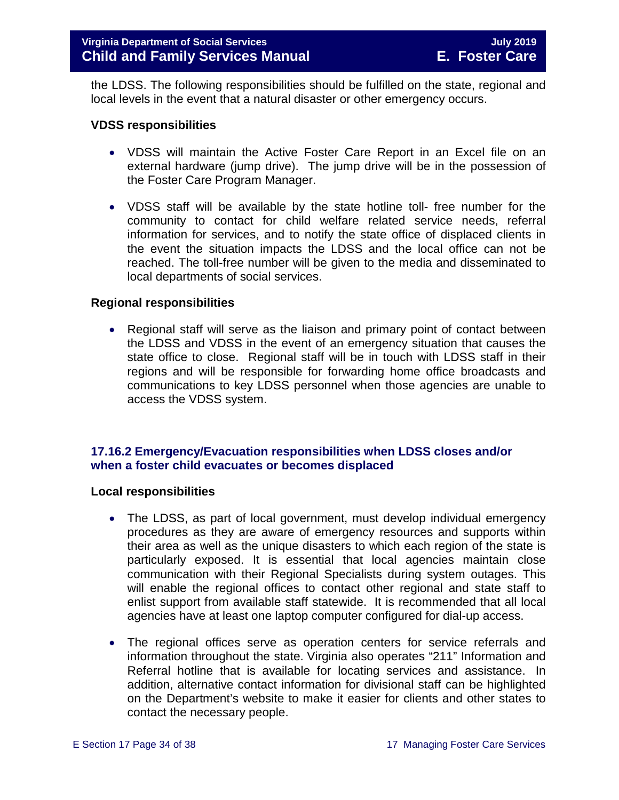the LDSS. The following responsibilities should be fulfilled on the state, regional and local levels in the event that a natural disaster or other emergency occurs.

#### **VDSS responsibilities**

- VDSS will maintain the Active Foster Care Report in an Excel file on an external hardware (jump drive). The jump drive will be in the possession of the Foster Care Program Manager.
- VDSS staff will be available by the state hotline toll- free number for the community to contact for child welfare related service needs, referral information for services, and to notify the state office of displaced clients in the event the situation impacts the LDSS and the local office can not be reached. The toll-free number will be given to the media and disseminated to local departments of social services.

#### **Regional responsibilities**

• Regional staff will serve as the liaison and primary point of contact between the LDSS and VDSS in the event of an emergency situation that causes the state office to close. Regional staff will be in touch with LDSS staff in their regions and will be responsible for forwarding home office broadcasts and communications to key LDSS personnel when those agencies are unable to access the VDSS system.

## <span id="page-33-0"></span>**17.16.2 Emergency/Evacuation responsibilities when LDSS closes and/or when a foster child evacuates or becomes displaced**

#### **Local responsibilities**

- The LDSS, as part of local government, must develop individual emergency procedures as they are aware of emergency resources and supports within their area as well as the unique disasters to which each region of the state is particularly exposed. It is essential that local agencies maintain close communication with their Regional Specialists during system outages. This will enable the regional offices to contact other regional and state staff to enlist support from available staff statewide. It is recommended that all local agencies have at least one laptop computer configured for dial-up access.
- The regional offices serve as operation centers for service referrals and information throughout the state. Virginia also operates "211" Information and Referral hotline that is available for locating services and assistance. In addition, alternative contact information for divisional staff can be highlighted on the Department's website to make it easier for clients and other states to contact the necessary people.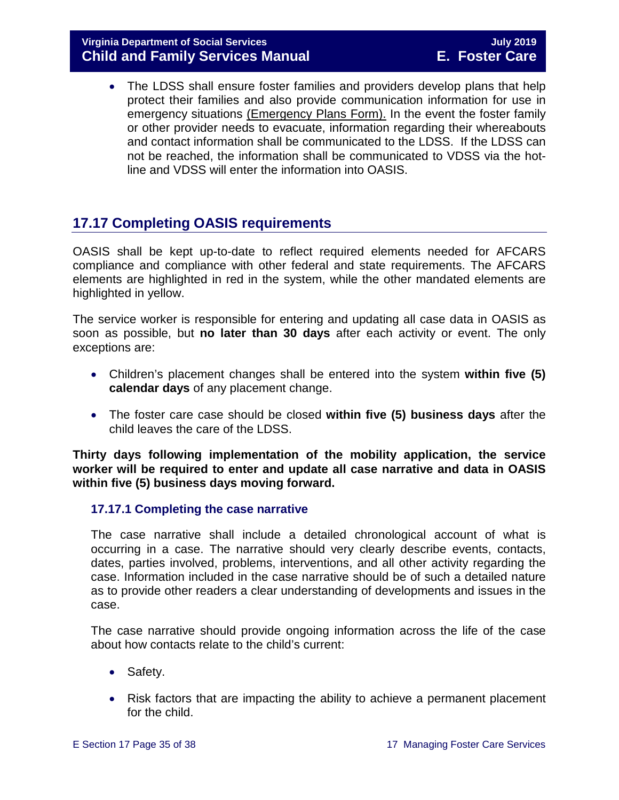• The LDSS shall ensure foster families and providers develop plans that help protect their families and also provide communication information for use in emergency situations [\(Emergency Plans Form\).](http://spark.dss.virginia.gov/divisions/dgs/warehouse.cgi) In the event the foster family or other provider needs to evacuate, information regarding their whereabouts and contact information shall be communicated to the LDSS. If the LDSS can not be reached, the information shall be communicated to VDSS via the hotline and VDSS will enter the information into OASIS.

## <span id="page-34-0"></span>**17.17 Completing OASIS requirements**

OASIS shall be kept up-to-date to reflect required elements needed for AFCARS compliance and compliance with other federal and state requirements. The AFCARS elements are highlighted in red in the system, while the other mandated elements are highlighted in yellow.

The service worker is responsible for entering and updating all case data in OASIS as soon as possible, but **no later than 30 days** after each activity or event. The only exceptions are:

- Children's placement changes shall be entered into the system **within five (5) calendar days** of any placement change.
- The foster care case should be closed **within five (5) business days** after the child leaves the care of the LDSS.

**Thirty days following implementation of the mobility application, the service worker will be required to enter and update all case narrative and data in OASIS within five (5) business days moving forward.** 

#### <span id="page-34-1"></span>**17.17.1 Completing the case narrative**

The case narrative shall include a detailed chronological account of what is occurring in a case. The narrative should very clearly describe events, contacts, dates, parties involved, problems, interventions, and all other activity regarding the case. Information included in the case narrative should be of such a detailed nature as to provide other readers a clear understanding of developments and issues in the case.

The case narrative should provide ongoing information across the life of the case about how contacts relate to the child's current:

- Safety.
- Risk factors that are impacting the ability to achieve a permanent placement for the child.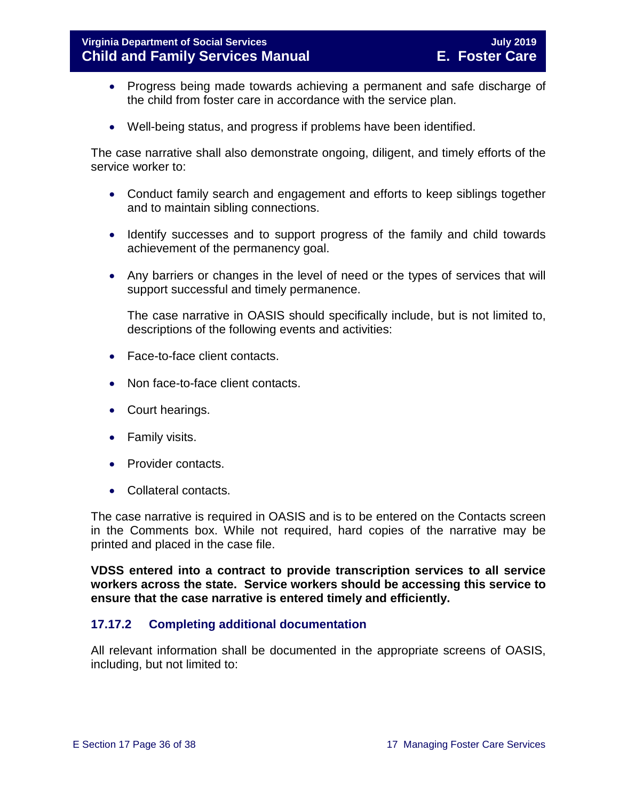- Progress being made towards achieving a permanent and safe discharge of the child from foster care in accordance with the service plan.
- Well-being status, and progress if problems have been identified.

The case narrative shall also demonstrate ongoing, diligent, and timely efforts of the service worker to:

- Conduct family search and engagement and efforts to keep siblings together and to maintain sibling connections.
- Identify successes and to support progress of the family and child towards achievement of the permanency goal.
- Any barriers or changes in the level of need or the types of services that will support successful and timely permanence.

The case narrative in OASIS should specifically include, but is not limited to, descriptions of the following events and activities:

- Face-to-face client contacts.
- Non face-to-face client contacts.
- Court hearings.
- Family visits.
- Provider contacts.
- Collateral contacts.

The case narrative is required in OASIS and is to be entered on the Contacts screen in the Comments box. While not required, hard copies of the narrative may be printed and placed in the case file.

**VDSS entered into a contract to provide transcription services to all service workers across the state. Service workers should be accessing this service to ensure that the case narrative is entered timely and efficiently.** 

## <span id="page-35-0"></span>**17.17.2 Completing additional documentation**

All relevant information shall be documented in the appropriate screens of OASIS, including, but not limited to: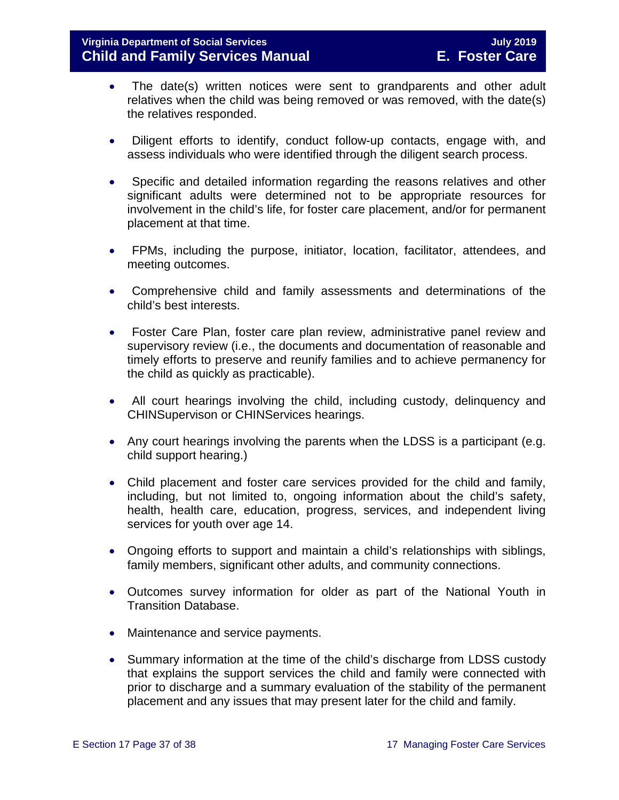- The date(s) written notices were sent to grandparents and other adult relatives when the child was being removed or was removed, with the date(s) the relatives responded.
- Diligent efforts to identify, conduct follow-up contacts, engage with, and assess individuals who were identified through the diligent search process.
- Specific and detailed information regarding the reasons relatives and other significant adults were determined not to be appropriate resources for involvement in the child's life, for foster care placement, and/or for permanent placement at that time.
- FPMs, including the purpose, initiator, location, facilitator, attendees, and meeting outcomes.
- Comprehensive child and family assessments and determinations of the child's best interests.
- Foster Care Plan, foster care plan review, administrative panel review and supervisory review (i.e., the documents and documentation of reasonable and timely efforts to preserve and reunify families and to achieve permanency for the child as quickly as practicable).
- All court hearings involving the child, including custody, delinquency and CHINSupervison or CHINServices hearings.
- Any court hearings involving the parents when the LDSS is a participant (e.g. child support hearing.)
- Child placement and foster care services provided for the child and family, including, but not limited to, ongoing information about the child's safety, health, health care, education, progress, services, and independent living services for youth over age 14.
- Ongoing efforts to support and maintain a child's relationships with siblings, family members, significant other adults, and community connections.
- Outcomes survey information for older as part of the National Youth in Transition Database.
- Maintenance and service payments.
- Summary information at the time of the child's discharge from LDSS custody that explains the support services the child and family were connected with prior to discharge and a summary evaluation of the stability of the permanent placement and any issues that may present later for the child and family.